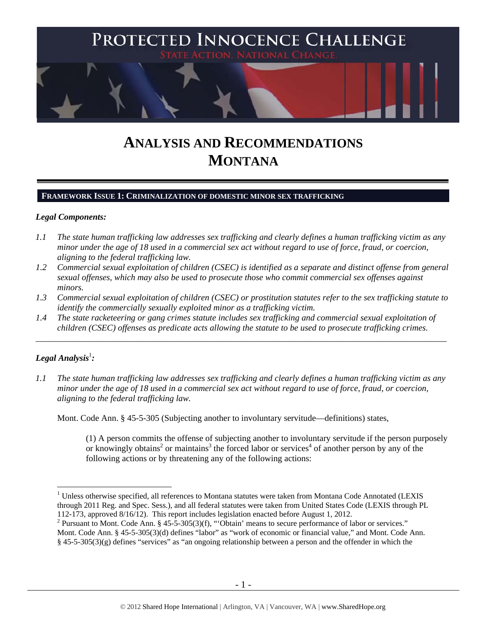

# **ANALYSIS AND RECOMMENDATIONS MONTANA**

#### **FRAMEWORK ISSUE 1: CRIMINALIZATION OF DOMESTIC MINOR SEX TRAFFICKING**

## *Legal Components:*

- *1.1 The state human trafficking law addresses sex trafficking and clearly defines a human trafficking victim as any minor under the age of 18 used in a commercial sex act without regard to use of force, fraud, or coercion, aligning to the federal trafficking law.*
- *1.2 Commercial sexual exploitation of children (CSEC) is identified as a separate and distinct offense from general sexual offenses, which may also be used to prosecute those who commit commercial sex offenses against minors.*
- *1.3 Commercial sexual exploitation of children (CSEC) or prostitution statutes refer to the sex trafficking statute to identify the commercially sexually exploited minor as a trafficking victim.*

\_\_\_\_\_\_\_\_\_\_\_\_\_\_\_\_\_\_\_\_\_\_\_\_\_\_\_\_\_\_\_\_\_\_\_\_\_\_\_\_\_\_\_\_\_\_\_\_\_\_\_\_\_\_\_\_\_\_\_\_\_\_\_\_\_\_\_\_\_\_\_\_\_\_\_\_\_\_\_\_\_\_\_\_\_\_\_\_\_\_\_\_\_\_

*1.4 The state racketeering or gang crimes statute includes sex trafficking and commercial sexual exploitation of children (CSEC) offenses as predicate acts allowing the statute to be used to prosecute trafficking crimes.* 

# $\bm{\mathit{Legal\, Analysis}^{\text{!}}:}$

 $\overline{a}$ 

*1.1 The state human trafficking law addresses sex trafficking and clearly defines a human trafficking victim as any minor under the age of 18 used in a commercial sex act without regard to use of force, fraud, or coercion, aligning to the federal trafficking law.* 

Mont. Code Ann. § 45-5-305 (Subjecting another to involuntary servitude—definitions) states,

(1) A person commits the offense of subjecting another to involuntary servitude if the person purposely or knowingly obtains<sup>2</sup> or maintains<sup>3</sup> the forced labor or services<sup>4</sup> of another person by any of the following actions or by threatening any of the following actions:

<sup>&</sup>lt;sup>1</sup> Unless otherwise specified, all references to Montana statutes were taken from Montana Code Annotated (LEXIS through 2011 Reg. and Spec. Sess.), and all federal statutes were taken from United States Code (LEXIS through PL 112-173, approved 8/16/12). This report includes legislation enacted before August 1, 2012.

<sup>&</sup>lt;sup>2</sup> Pursuant to Mont. Code Ann. § 45-5-305(3)(f), "'Obtain' means to secure performance of labor or services." Mont. Code Ann. § 45-5-305(3)(d) defines "labor" as "work of economic or financial value," and Mont. Code Ann. § 45-5-305(3)(g) defines "services" as "an ongoing relationship between a person and the offender in which the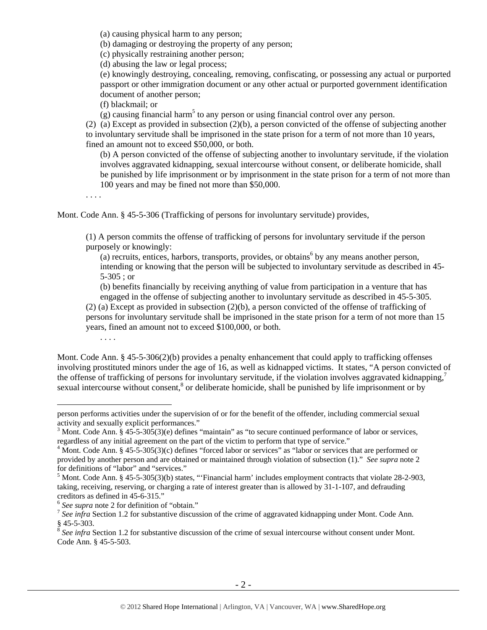(a) causing physical harm to any person;

(b) damaging or destroying the property of any person;

(c) physically restraining another person;

(d) abusing the law or legal process;

(e) knowingly destroying, concealing, removing, confiscating, or possessing any actual or purported passport or other immigration document or any other actual or purported government identification document of another person;

(f) blackmail; or

 $(g)$  causing financial harm<sup>5</sup> to any person or using financial control over any person.

(2) (a) Except as provided in subsection (2)(b), a person convicted of the offense of subjecting another to involuntary servitude shall be imprisoned in the state prison for a term of not more than 10 years, fined an amount not to exceed \$50,000, or both.

(b) A person convicted of the offense of subjecting another to involuntary servitude, if the violation involves aggravated kidnapping, sexual intercourse without consent, or deliberate homicide, shall be punished by life imprisonment or by imprisonment in the state prison for a term of not more than 100 years and may be fined not more than \$50,000.

. . . .

Mont. Code Ann. § 45-5-306 (Trafficking of persons for involuntary servitude) provides,

(1) A person commits the offense of trafficking of persons for involuntary servitude if the person purposely or knowingly:

 $(a)$  recruits, entices, harbors, transports, provides, or obtains<sup>6</sup> by any means another person, intending or knowing that the person will be subjected to involuntary servitude as described in 45- 5-305 ; or

(b) benefits financially by receiving anything of value from participation in a venture that has engaged in the offense of subjecting another to involuntary servitude as described in 45-5-305.

(2) (a) Except as provided in subsection (2)(b), a person convicted of the offense of trafficking of persons for involuntary servitude shall be imprisoned in the state prison for a term of not more than 15 years, fined an amount not to exceed \$100,000, or both.

. . . .

 $\overline{a}$ 

Mont. Code Ann. § 45-5-306(2)(b) provides a penalty enhancement that could apply to trafficking offenses involving prostituted minors under the age of 16, as well as kidnapped victims. It states, "A person convicted of the offense of trafficking of persons for involuntary servitude, if the violation involves aggravated kidnapping,<sup>7</sup> sexual intercourse without consent, $8$  or deliberate homicide, shall be punished by life imprisonment or by

person performs activities under the supervision of or for the benefit of the offender, including commercial sexual activity and sexually explicit performances."

 $3$  Mont. Code Ann. § 45-5-305(3)(e) defines "maintain" as "to secure continued performance of labor or services,

regardless of any initial agreement on the part of the victim to perform that type of service."<br><sup>4</sup> Mont. Code Ann. § 45-5-305(3)(c) defines "forced labor or services" as "labor or services that are performed or provided by another person and are obtained or maintained through violation of subsection (1)." *See supra* note 2 for definitions of "labor" and "services."

<sup>&</sup>lt;sup>5</sup> Mont. Code Ann. § 45-5-305(3)(b) states, "'Financial harm' includes employment contracts that violate  $28-2-903$ , taking, receiving, reserving, or charging a rate of interest greater than is allowed by 31-1-107, and defrauding creditors as defined in 45-6-315."<br><sup>6</sup> See supra note 2 for definition of "obtain."

<sup>&</sup>lt;sup>7</sup> See infra Section 1.2 for substantive discussion of the crime of aggravated kidnapping under Mont. Code Ann. § 45-5-303.

<sup>&</sup>lt;sup>8</sup> See infra Section 1.2 for substantive discussion of the crime of sexual intercourse without consent under Mont. Code Ann. § 45-5-503.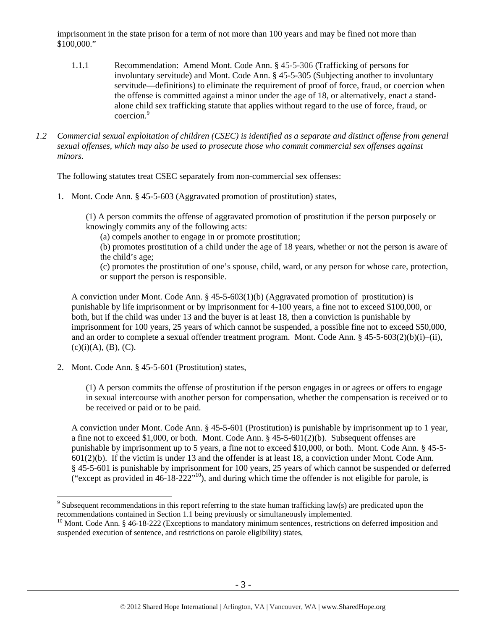imprisonment in the state prison for a term of not more than 100 years and may be fined not more than \$100,000."

- 1.1.1 Recommendation: Amend Mont. Code Ann. § 45-5-306 (Trafficking of persons for involuntary servitude) and Mont. Code Ann. § 45-5-305 (Subjecting another to involuntary servitude—definitions) to eliminate the requirement of proof of force, fraud, or coercion when the offense is committed against a minor under the age of 18, or alternatively, enact a standalone child sex trafficking statute that applies without regard to the use of force, fraud, or coercion.9
- *1.2 Commercial sexual exploitation of children (CSEC) is identified as a separate and distinct offense from general sexual offenses, which may also be used to prosecute those who commit commercial sex offenses against minors.*

The following statutes treat CSEC separately from non-commercial sex offenses:

1. Mont. Code Ann. § 45-5-603 (Aggravated promotion of prostitution) states,

(1) A person commits the offense of aggravated promotion of prostitution if the person purposely or knowingly commits any of the following acts:

(a) compels another to engage in or promote prostitution;

(b) promotes prostitution of a child under the age of 18 years, whether or not the person is aware of the child's age;

(c) promotes the prostitution of one's spouse, child, ward, or any person for whose care, protection, or support the person is responsible.

A conviction under Mont. Code Ann. § 45-5-603(1)(b) (Aggravated promotion of prostitution) is punishable by life imprisonment or by imprisonment for 4-100 years, a fine not to exceed \$100,000, or both, but if the child was under 13 and the buyer is at least 18, then a conviction is punishable by imprisonment for 100 years, 25 years of which cannot be suspended, a possible fine not to exceed \$50,000, and an order to complete a sexual offender treatment program. Mont. Code Ann. § 45-5-603(2)(b)(i)–(ii),  $(c)(i)(A), (B), (C).$ 

2. Mont. Code Ann. § 45-5-601 (Prostitution) states,

 $\overline{a}$ 

(1) A person commits the offense of prostitution if the person engages in or agrees or offers to engage in sexual intercourse with another person for compensation, whether the compensation is received or to be received or paid or to be paid.

A conviction under Mont. Code Ann. § 45-5-601 (Prostitution) is punishable by imprisonment up to 1 year, a fine not to exceed \$1,000, or both. Mont. Code Ann.  $§$  45-5-601(2)(b). Subsequent offenses are punishable by imprisonment up to 5 years, a fine not to exceed \$10,000, or both. Mont. Code Ann. § 45-5- 601(2)(b). If the victim is under 13 and the offender is at least 18, a conviction under Mont. Code Ann. § 45-5-601 is punishable by imprisonment for 100 years, 25 years of which cannot be suspended or deferred ("except as provided in  $46$ -18- $222$ "<sup>10</sup>), and during which time the offender is not eligible for parole, is

<sup>&</sup>lt;sup>9</sup> Subsequent recommendations in this report referring to the state human trafficking law(s) are predicated upon the recommendations contained in Section 1.1 being previously or simultaneously implemented.

 $10$  Mont. Code Ann. § 46-18-222 (Exceptions to mandatory minimum sentences, restrictions on deferred imposition and suspended execution of sentence, and restrictions on parole eligibility) states,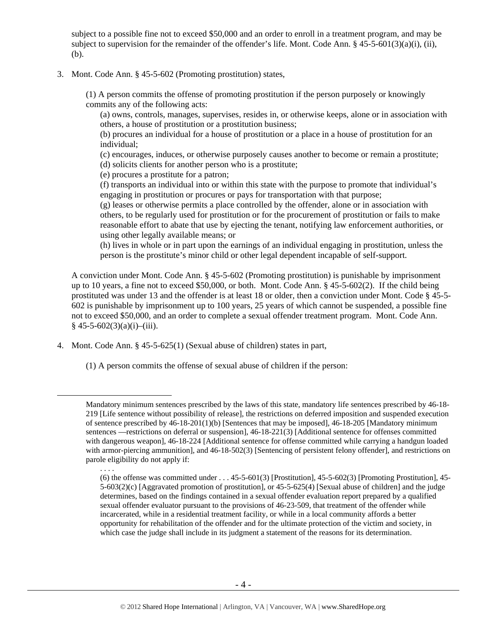subject to a possible fine not to exceed \$50,000 and an order to enroll in a treatment program, and may be subject to supervision for the remainder of the offender's life. Mont. Code Ann. § 45-5-601(3)(a)(i), (ii), (b).

3. Mont. Code Ann. § 45-5-602 (Promoting prostitution) states,

(1) A person commits the offense of promoting prostitution if the person purposely or knowingly commits any of the following acts:

(a) owns, controls, manages, supervises, resides in, or otherwise keeps, alone or in association with others, a house of prostitution or a prostitution business;

(b) procures an individual for a house of prostitution or a place in a house of prostitution for an individual;

(c) encourages, induces, or otherwise purposely causes another to become or remain a prostitute;

(d) solicits clients for another person who is a prostitute;

(e) procures a prostitute for a patron;

(f) transports an individual into or within this state with the purpose to promote that individual's engaging in prostitution or procures or pays for transportation with that purpose;

(g) leases or otherwise permits a place controlled by the offender, alone or in association with others, to be regularly used for prostitution or for the procurement of prostitution or fails to make reasonable effort to abate that use by ejecting the tenant, notifying law enforcement authorities, or using other legally available means; or

(h) lives in whole or in part upon the earnings of an individual engaging in prostitution, unless the person is the prostitute's minor child or other legal dependent incapable of self-support.

A conviction under Mont. Code Ann. § 45-5-602 (Promoting prostitution) is punishable by imprisonment up to 10 years, a fine not to exceed \$50,000, or both. Mont. Code Ann. § 45-5-602(2). If the child being prostituted was under 13 and the offender is at least 18 or older, then a conviction under Mont. Code § 45-5- 602 is punishable by imprisonment up to 100 years, 25 years of which cannot be suspended, a possible fine not to exceed \$50,000, and an order to complete a sexual offender treatment program. Mont. Code Ann.  $§$  45-5-602(3)(a)(i)–(iii).

4. Mont. Code Ann. § 45-5-625(1) (Sexual abuse of children) states in part,

. . . .

(1) A person commits the offense of sexual abuse of children if the person:

Mandatory minimum sentences prescribed by the laws of this state, mandatory life sentences prescribed by 46-18- 219 [Life sentence without possibility of release], the restrictions on deferred imposition and suspended execution of sentence prescribed by 46-18-201(1)(b) [Sentences that may be imposed], 46-18-205 [Mandatory minimum sentences —restrictions on deferral or suspension], 46-18-221(3) [Additional sentence for offenses committed with dangerous weapon], 46-18-224 [Additional sentence for offense committed while carrying a handgun loaded with armor-piercing ammunition], and 46-18-502(3) [Sentencing of persistent felony offender], and restrictions on parole eligibility do not apply if:

<sup>(6)</sup> the offense was committed under  $\dots$  45-5-601(3) [Prostitution], 45-5-602(3) [Promoting Prostitution], 45-5-603(2)(c) [Aggravated promotion of prostitution], or 45-5-625(4) [Sexual abuse of children] and the judge determines, based on the findings contained in a sexual offender evaluation report prepared by a qualified sexual offender evaluator pursuant to the provisions of 46-23-509, that treatment of the offender while incarcerated, while in a residential treatment facility, or while in a local community affords a better opportunity for rehabilitation of the offender and for the ultimate protection of the victim and society, in which case the judge shall include in its judgment a statement of the reasons for its determination.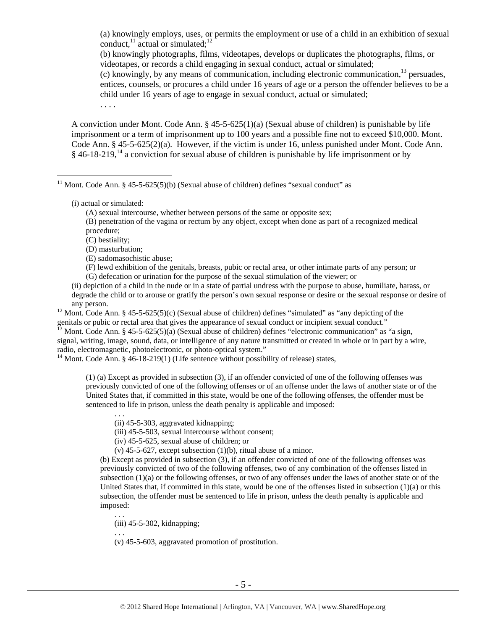(a) knowingly employs, uses, or permits the employment or use of a child in an exhibition of sexual conduct, $^{11}$  actual or simulated; $^{12}$ 

(b) knowingly photographs, films, videotapes, develops or duplicates the photographs, films, or videotapes, or records a child engaging in sexual conduct, actual or simulated;

(c) knowingly, by any means of communication, including electronic communication,13 persuades, entices, counsels, or procures a child under 16 years of age or a person the offender believes to be a child under 16 years of age to engage in sexual conduct, actual or simulated;

. . . .

A conviction under Mont. Code Ann. § 45-5-625(1)(a) (Sexual abuse of children) is punishable by life imprisonment or a term of imprisonment up to 100 years and a possible fine not to exceed \$10,000. Mont. Code Ann. § 45-5-625(2)(a). However, if the victim is under 16, unless punished under Mont. Code Ann.  $§$  46-18-219,<sup>14</sup> a conviction for sexual abuse of children is punishable by life imprisonment or by

<sup>11</sup> Mont. Code Ann. § 45-5-625(5)(b) (Sexual abuse of children) defines "sexual conduct" as

(i) actual or simulated:

 $\overline{a}$ 

(A) sexual intercourse, whether between persons of the same or opposite sex;

(B) penetration of the vagina or rectum by any object, except when done as part of a recognized medical procedure;

(C) bestiality;

(D) masturbation;

(E) sadomasochistic abuse;

(F) lewd exhibition of the genitals, breasts, pubic or rectal area, or other intimate parts of any person; or (G) defecation or urination for the purpose of the sexual stimulation of the viewer; or

(ii) depiction of a child in the nude or in a state of partial undress with the purpose to abuse, humiliate, harass, or degrade the child or to arouse or gratify the person's own sexual response or desire or the sexual response or desire of

any person.<br><sup>12</sup> Mont. Code Ann. § 45-5-625(5)(c) (Sexual abuse of children) defines "simulated" as "any depicting of the genitals or pubic or rectal area that gives the appearance of sexual conduct or incipient sexual conduct." 13 Mont. Code Ann. § 45-5-625(5)(a) (Sexual abuse of children) defines "electronic communication" as "a sign,

signal, writing, image, sound, data, or intelligence of any nature transmitted or created in whole or in part by a wire, radio, electromagnetic, photoelectronic, or photo-optical system."

<sup>14</sup> Mont. Code Ann. § 46-18-219(1) (Life sentence without possibility of release) states,

(1) (a) Except as provided in subsection (3), if an offender convicted of one of the following offenses was previously convicted of one of the following offenses or of an offense under the laws of another state or of the United States that, if committed in this state, would be one of the following offenses, the offender must be sentenced to life in prison, unless the death penalty is applicable and imposed:

. . . (ii) 45-5-303, aggravated kidnapping;

(iii) 45-5-503, sexual intercourse without consent;

(iv) 45-5-625, sexual abuse of children; or

(v) 45-5-627, except subsection (1)(b), ritual abuse of a minor.

(b) Except as provided in subsection (3), if an offender convicted of one of the following offenses was previously convicted of two of the following offenses, two of any combination of the offenses listed in subsection (1)(a) or the following offenses, or two of any offenses under the laws of another state or of the United States that, if committed in this state, would be one of the offenses listed in subsection (1)(a) or this subsection, the offender must be sentenced to life in prison, unless the death penalty is applicable and imposed:

. . . (iii) 45-5-302, kidnapping;

. . .

(v) 45-5-603, aggravated promotion of prostitution.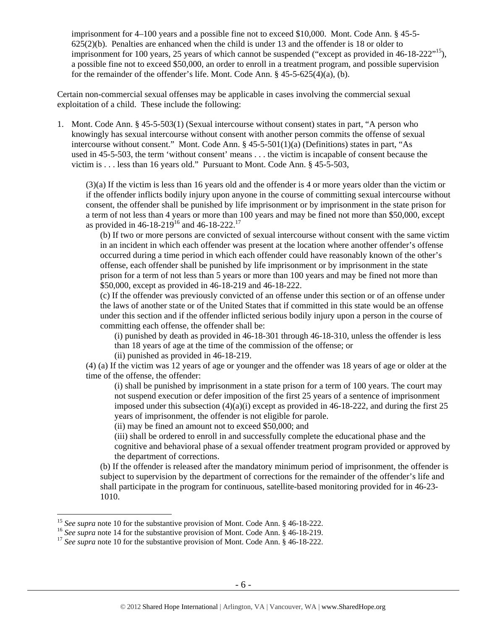imprisonment for 4–100 years and a possible fine not to exceed \$10,000. Mont. Code Ann. § 45-5- 625(2)(b). Penalties are enhanced when the child is under 13 and the offender is 18 or older to imprisonment for 100 years, 25 years of which cannot be suspended ("except as provided in  $46-18-222"15$ ), a possible fine not to exceed \$50,000, an order to enroll in a treatment program, and possible supervision for the remainder of the offender's life. Mont. Code Ann. § 45-5-625(4)(a), (b).

Certain non-commercial sexual offenses may be applicable in cases involving the commercial sexual exploitation of a child. These include the following:

1. Mont. Code Ann. § 45-5-503(1) (Sexual intercourse without consent) states in part, "A person who knowingly has sexual intercourse without consent with another person commits the offense of sexual intercourse without consent." Mont. Code Ann. § 45-5-501(1)(a) (Definitions) states in part, "As used in 45-5-503, the term 'without consent' means . . . the victim is incapable of consent because the victim is . . . less than 16 years old." Pursuant to Mont. Code Ann. § 45-5-503,

(3)(a) If the victim is less than 16 years old and the offender is 4 or more years older than the victim or if the offender inflicts bodily injury upon anyone in the course of committing sexual intercourse without consent, the offender shall be punished by life imprisonment or by imprisonment in the state prison for a term of not less than 4 years or more than 100 years and may be fined not more than \$50,000, except as provided in 46-18-219<sup>16</sup> and 46-18-222.<sup>17</sup>

(b) If two or more persons are convicted of sexual intercourse without consent with the same victim in an incident in which each offender was present at the location where another offender's offense occurred during a time period in which each offender could have reasonably known of the other's offense, each offender shall be punished by life imprisonment or by imprisonment in the state prison for a term of not less than 5 years or more than 100 years and may be fined not more than \$50,000, except as provided in 46-18-219 and 46-18-222.

(c) If the offender was previously convicted of an offense under this section or of an offense under the laws of another state or of the United States that if committed in this state would be an offense under this section and if the offender inflicted serious bodily injury upon a person in the course of committing each offense, the offender shall be:

(i) punished by death as provided in 46-18-301 through 46-18-310, unless the offender is less than 18 years of age at the time of the commission of the offense; or

(ii) punished as provided in 46-18-219.

(4) (a) If the victim was 12 years of age or younger and the offender was 18 years of age or older at the time of the offense, the offender:

(i) shall be punished by imprisonment in a state prison for a term of 100 years. The court may not suspend execution or defer imposition of the first 25 years of a sentence of imprisonment imposed under this subsection  $(4)(a)(i)$  except as provided in 46-18-222, and during the first 25 years of imprisonment, the offender is not eligible for parole.

(ii) may be fined an amount not to exceed \$50,000; and

(iii) shall be ordered to enroll in and successfully complete the educational phase and the cognitive and behavioral phase of a sexual offender treatment program provided or approved by the department of corrections.

(b) If the offender is released after the mandatory minimum period of imprisonment, the offender is subject to supervision by the department of corrections for the remainder of the offender's life and shall participate in the program for continuous, satellite-based monitoring provided for in 46-23- 1010.

<sup>&</sup>lt;sup>15</sup> See supra note 10 for the substantive provision of Mont. Code Ann. § 46-18-222.

<sup>&</sup>lt;sup>16</sup> See supra note 14 for the substantive provision of Mont. Code Ann. § 46-18-219.<br><sup>17</sup> See supra note 10 for the substantive provision of Mont. Code Ann. § 46-18-222.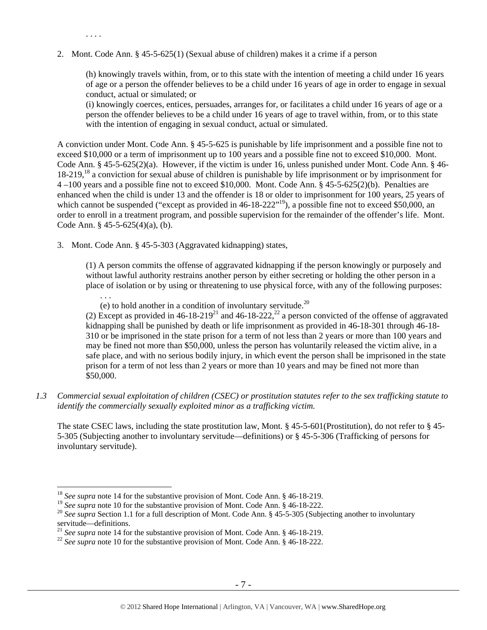2. Mont. Code Ann. § 45-5-625(1) (Sexual abuse of children) makes it a crime if a person

(h) knowingly travels within, from, or to this state with the intention of meeting a child under 16 years of age or a person the offender believes to be a child under 16 years of age in order to engage in sexual conduct, actual or simulated; or

(i) knowingly coerces, entices, persuades, arranges for, or facilitates a child under 16 years of age or a person the offender believes to be a child under 16 years of age to travel within, from, or to this state with the intention of engaging in sexual conduct, actual or simulated.

A conviction under Mont. Code Ann. § 45-5-625 is punishable by life imprisonment and a possible fine not to exceed \$10,000 or a term of imprisonment up to 100 years and a possible fine not to exceed \$10,000. Mont. Code Ann. § 45-5-625(2)(a). However, if the victim is under 16, unless punished under Mont. Code Ann. § 46- 18-219,<sup>18</sup> a conviction for sexual abuse of children is punishable by life imprisonment or by imprisonment for 4 –100 years and a possible fine not to exceed \$10,000. Mont. Code Ann. § 45-5-625(2)(b). Penalties are enhanced when the child is under 13 and the offender is 18 or older to imprisonment for 100 years, 25 years of which cannot be suspended ("except as provided in 46-18-222"<sup>19</sup>), a possible fine not to exceed \$50,000, an order to enroll in a treatment program, and possible supervision for the remainder of the offender's life. Mont. Code Ann. § 45-5-625(4)(a), (b).

3. Mont. Code Ann. § 45-5-303 (Aggravated kidnapping) states,

. . . .

 $\overline{a}$ 

(1) A person commits the offense of aggravated kidnapping if the person knowingly or purposely and without lawful authority restrains another person by either secreting or holding the other person in a place of isolation or by using or threatening to use physical force, with any of the following purposes: . . .

(e) to hold another in a condition of involuntary servitude. $^{20}$ 

(2) Except as provided in  $46-18-219^{21}$  and  $46-18-222$ ,  $^{22}$  a person convicted of the offense of aggravated kidnapping shall be punished by death or life imprisonment as provided in 46-18-301 through 46-18- 310 or be imprisoned in the state prison for a term of not less than 2 years or more than 100 years and may be fined not more than \$50,000, unless the person has voluntarily released the victim alive, in a safe place, and with no serious bodily injury, in which event the person shall be imprisoned in the state prison for a term of not less than 2 years or more than 10 years and may be fined not more than \$50,000.

*1.3 Commercial sexual exploitation of children (CSEC) or prostitution statutes refer to the sex trafficking statute to identify the commercially sexually exploited minor as a trafficking victim.* 

The state CSEC laws, including the state prostitution law, Mont. § 45-5-601(Prostitution), do not refer to § 45-5-305 (Subjecting another to involuntary servitude—definitions) or § 45-5-306 (Trafficking of persons for involuntary servitude).

<sup>18</sup> *See supra* note 14 for the substantive provision of Mont. Code Ann. § 46-18-219.

<sup>&</sup>lt;sup>19</sup> *See supra* note 10 for the substantive provision of Mont. Code Ann. § 46-18-222.<br><sup>20</sup> *See supra* Section 1.1 for a full description of Mont. Code Ann. § 45-5-305 (Subjecting another to involuntary servitude—definitions.

<sup>&</sup>lt;sup>21</sup> *See supra* note 14 for the substantive provision of Mont. Code Ann. § 46-18-219. <br><sup>22</sup> *See supra* note 10 for the substantive provision of Mont. Code Ann. § 46-18-222.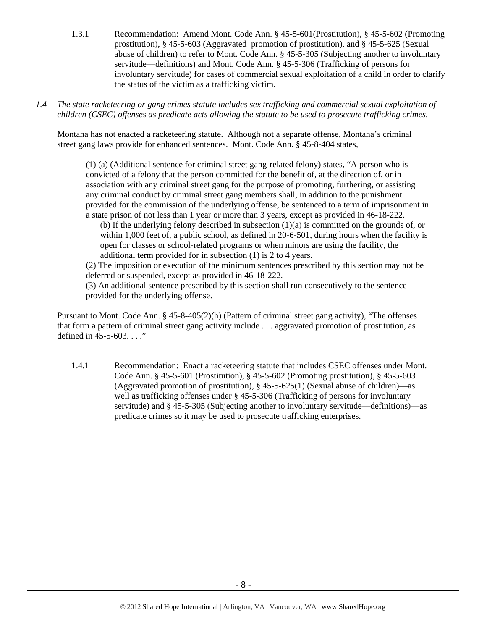- 1.3.1 Recommendation: Amend Mont. Code Ann. § 45-5-601(Prostitution), § 45-5-602 (Promoting prostitution), § 45-5-603 (Aggravated promotion of prostitution), and § 45-5-625 (Sexual abuse of children) to refer to Mont. Code Ann. § 45-5-305 (Subjecting another to involuntary servitude—definitions) and Mont. Code Ann. § 45-5-306 (Trafficking of persons for involuntary servitude) for cases of commercial sexual exploitation of a child in order to clarify the status of the victim as a trafficking victim.
- *1.4 The state racketeering or gang crimes statute includes sex trafficking and commercial sexual exploitation of children (CSEC) offenses as predicate acts allowing the statute to be used to prosecute trafficking crimes.*

Montana has not enacted a racketeering statute. Although not a separate offense, Montana's criminal street gang laws provide for enhanced sentences. Mont. Code Ann. § 45-8-404 states,

(1) (a) (Additional sentence for criminal street gang-related felony) states, "A person who is convicted of a felony that the person committed for the benefit of, at the direction of, or in association with any criminal street gang for the purpose of promoting, furthering, or assisting any criminal conduct by criminal street gang members shall, in addition to the punishment provided for the commission of the underlying offense, be sentenced to a term of imprisonment in a state prison of not less than 1 year or more than 3 years, except as provided in 46-18-222.

(b) If the underlying felony described in subsection (1)(a) is committed on the grounds of, or within 1,000 feet of, a public school, as defined in 20-6-501, during hours when the facility is open for classes or school-related programs or when minors are using the facility, the additional term provided for in subsection (1) is 2 to 4 years.

(2) The imposition or execution of the minimum sentences prescribed by this section may not be deferred or suspended, except as provided in 46-18-222.

(3) An additional sentence prescribed by this section shall run consecutively to the sentence provided for the underlying offense.

Pursuant to Mont. Code Ann. § 45-8-405(2)(h) (Pattern of criminal street gang activity), "The offenses that form a pattern of criminal street gang activity include . . . aggravated promotion of prostitution, as defined in 45-5-603. . . ."

1.4.1 Recommendation: Enact a racketeering statute that includes CSEC offenses under Mont. Code Ann. § 45-5-601 (Prostitution), § 45-5-602 (Promoting prostitution), § 45-5-603 (Aggravated promotion of prostitution), § 45-5-625(1) (Sexual abuse of children)—as well as trafficking offenses under § 45-5-306 (Trafficking of persons for involuntary servitude) and § 45-5-305 (Subjecting another to involuntary servitude—definitions)—as predicate crimes so it may be used to prosecute trafficking enterprises.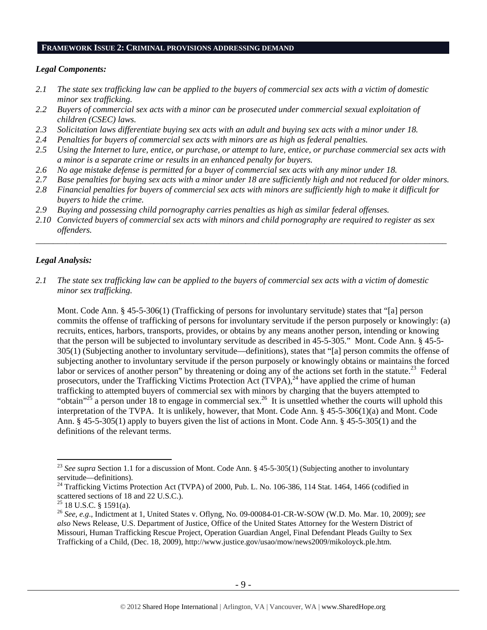## **FRAMEWORK ISSUE 2: CRIMINAL PROVISIONS ADDRESSING DEMAND**

## *Legal Components:*

- *2.1 The state sex trafficking law can be applied to the buyers of commercial sex acts with a victim of domestic minor sex trafficking.*
- *2.2 Buyers of commercial sex acts with a minor can be prosecuted under commercial sexual exploitation of children (CSEC) laws.*
- *2.3 Solicitation laws differentiate buying sex acts with an adult and buying sex acts with a minor under 18.*
- *2.4 Penalties for buyers of commercial sex acts with minors are as high as federal penalties.*
- *2.5 Using the Internet to lure, entice, or purchase, or attempt to lure, entice, or purchase commercial sex acts with a minor is a separate crime or results in an enhanced penalty for buyers.*
- *2.6 No age mistake defense is permitted for a buyer of commercial sex acts with any minor under 18.*
- *2.7 Base penalties for buying sex acts with a minor under 18 are sufficiently high and not reduced for older minors.*
- *2.8 Financial penalties for buyers of commercial sex acts with minors are sufficiently high to make it difficult for buyers to hide the crime.*
- *2.9 Buying and possessing child pornography carries penalties as high as similar federal offenses.*
- *2.10 Convicted buyers of commercial sex acts with minors and child pornography are required to register as sex offenders.*

\_\_\_\_\_\_\_\_\_\_\_\_\_\_\_\_\_\_\_\_\_\_\_\_\_\_\_\_\_\_\_\_\_\_\_\_\_\_\_\_\_\_\_\_\_\_\_\_\_\_\_\_\_\_\_\_\_\_\_\_\_\_\_\_\_\_\_\_\_\_\_\_\_\_\_\_\_\_\_\_\_\_\_\_\_\_\_\_\_\_\_\_\_\_

## *Legal Analysis:*

 $\overline{a}$ 

*2.1 The state sex trafficking law can be applied to the buyers of commercial sex acts with a victim of domestic minor sex trafficking.* 

Mont. Code Ann. § 45-5-306(1) (Trafficking of persons for involuntary servitude) states that "[a] person commits the offense of trafficking of persons for involuntary servitude if the person purposely or knowingly: (a) recruits, entices, harbors, transports, provides, or obtains by any means another person, intending or knowing that the person will be subjected to involuntary servitude as described in 45-5-305." Mont. Code Ann. § 45-5- 305(1) (Subjecting another to involuntary servitude—definitions), states that "[a] person commits the offense of subjecting another to involuntary servitude if the person purposely or knowingly obtains or maintains the forced labor or services of another person" by threatening or doing any of the actions set forth in the statute.<sup>23</sup> Federal prosecutors, under the Trafficking Victims Protection Act  $(TVPA)$ ,<sup>24</sup> have applied the crime of human trafficking to attempted buyers of commercial sex with minors by charging that the buyers attempted to "obtain"<sup>25</sup> a person under 18 to engage in commercial sex.<sup>26</sup> It is unsettled whether the courts will uphold this interpretation of the TVPA. It is unlikely, however, that Mont. Code Ann. § 45-5-306(1)(a) and Mont. Code Ann. § 45-5-305(1) apply to buyers given the list of actions in Mont. Code Ann. § 45-5-305(1) and the definitions of the relevant terms.

<sup>&</sup>lt;sup>23</sup> See supra Section 1.1 for a discussion of Mont. Code Ann. § 45-5-305(1) (Subjecting another to involuntary servitude—definitions).

<sup>&</sup>lt;sup>24</sup> Trafficking Victims Protection Act (TVPA) of 2000, Pub. L. No. 106-386, 114 Stat. 1464, 1466 (codified in scattered sections of 18 and 22 U.S.C.).

 $25$  18 U.S.C. § 1591(a).

<sup>26</sup> *See, e.g*., Indictment at 1, United States v. Oflyng, No. 09-00084-01-CR-W-SOW (W.D. Mo. Mar. 10, 2009); *see also* News Release, U.S. Department of Justice, Office of the United States Attorney for the Western District of Missouri, Human Trafficking Rescue Project, Operation Guardian Angel, Final Defendant Pleads Guilty to Sex Trafficking of a Child, (Dec. 18, 2009), http://www.justice.gov/usao/mow/news2009/mikoloyck.ple.htm.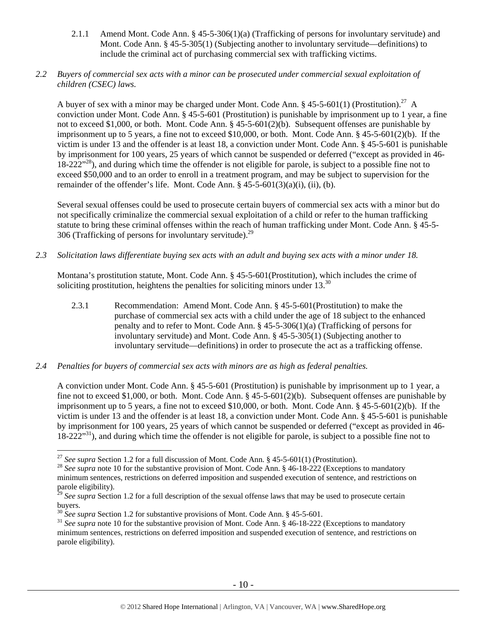2.1.1 Amend Mont. Code Ann. § 45-5-306(1)(a) (Trafficking of persons for involuntary servitude) and Mont. Code Ann. § 45-5-305(1) (Subjecting another to involuntary servitude—definitions) to include the criminal act of purchasing commercial sex with trafficking victims.

# *2.2 Buyers of commercial sex acts with a minor can be prosecuted under commercial sexual exploitation of children (CSEC) laws.*

A buyer of sex with a minor may be charged under Mont. Code Ann. § 45-5-601(1) (Prostitution).<sup>27</sup> A conviction under Mont. Code Ann. § 45-5-601 (Prostitution) is punishable by imprisonment up to 1 year, a fine not to exceed \$1,000, or both. Mont. Code Ann. § 45-5-601(2)(b). Subsequent offenses are punishable by imprisonment up to 5 years, a fine not to exceed \$10,000, or both. Mont. Code Ann. § 45-5-601(2)(b). If the victim is under 13 and the offender is at least 18, a conviction under Mont. Code Ann. § 45-5-601 is punishable by imprisonment for 100 years, 25 years of which cannot be suspended or deferred ("except as provided in 46- 18-222<sup>"28</sup>), and during which time the offender is not eligible for parole, is subject to a possible fine not to exceed \$50,000 and to an order to enroll in a treatment program, and may be subject to supervision for the remainder of the offender's life. Mont. Code Ann.  $\S$  45-5-601(3)(a)(i), (ii), (b).

Several sexual offenses could be used to prosecute certain buyers of commercial sex acts with a minor but do not specifically criminalize the commercial sexual exploitation of a child or refer to the human trafficking statute to bring these criminal offenses within the reach of human trafficking under Mont. Code Ann. § 45-5- 306 (Trafficking of persons for involuntary servitude).<sup>29</sup>

*2.3 Solicitation laws differentiate buying sex acts with an adult and buying sex acts with a minor under 18.* 

Montana's prostitution statute, Mont. Code Ann. § 45-5-601(Prostitution), which includes the crime of soliciting prostitution, heightens the penalties for soliciting minors under  $13^{30}$ 

- 2.3.1 Recommendation: Amend Mont. Code Ann. § 45-5-601(Prostitution) to make the purchase of commercial sex acts with a child under the age of 18 subject to the enhanced penalty and to refer to Mont. Code Ann. § 45-5-306(1)(a) (Trafficking of persons for involuntary servitude) and Mont. Code Ann. § 45-5-305(1) (Subjecting another to involuntary servitude—definitions) in order to prosecute the act as a trafficking offense.
- *2.4 Penalties for buyers of commercial sex acts with minors are as high as federal penalties.*

A conviction under Mont. Code Ann. § 45-5-601 (Prostitution) is punishable by imprisonment up to 1 year, a fine not to exceed \$1,000, or both. Mont. Code Ann. § 45-5-601(2)(b). Subsequent offenses are punishable by imprisonment up to 5 years, a fine not to exceed \$10,000, or both. Mont. Code Ann. § 45-5-601(2)(b). If the victim is under 13 and the offender is at least 18, a conviction under Mont. Code Ann. § 45-5-601 is punishable by imprisonment for 100 years, 25 years of which cannot be suspended or deferred ("except as provided in 46-  $18-222^{31}$ , and during which time the offender is not eligible for parole, is subject to a possible fine not to

<sup>&</sup>lt;sup>27</sup> *See supra* Section 1.2 for a full discussion of Mont. Code Ann. § 45-5-601(1) (Prostitution).<br><sup>28</sup> *See supra* note 10 for the substantive provision of Mont. Code Ann. § 46-18-222 (Exceptions to mandatory minimum sentences, restrictions on deferred imposition and suspended execution of sentence, and restrictions on parole eligibility).

<sup>&</sup>lt;sup>29</sup> See supra Section 1.2 for a full description of the sexual offense laws that may be used to prosecute certain buyers.

<sup>&</sup>lt;sup>30</sup> *See supra* Section 1.2 for substantive provisions of Mont. Code Ann. § 45-5-601.<br><sup>31</sup> *See supra* note 10 for the substantive provision of Mont. Code Ann. § 46-18-222 (Exceptions to mandatory minimum sentences, restrictions on deferred imposition and suspended execution of sentence, and restrictions on parole eligibility).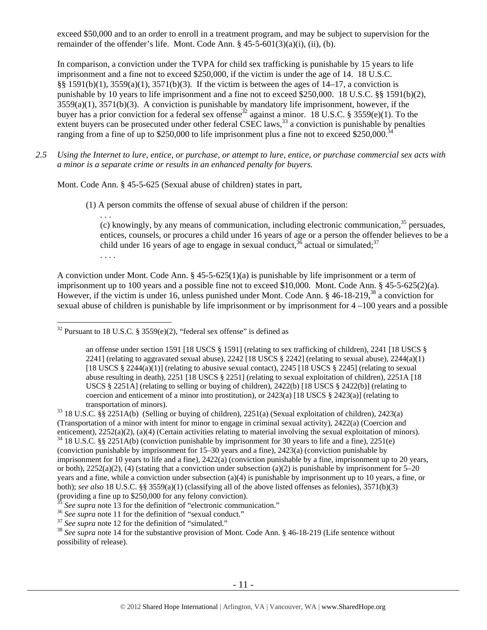exceed \$50,000 and to an order to enroll in a treatment program, and may be subject to supervision for the remainder of the offender's life. Mont. Code Ann.  $\S$  45-5-601(3)(a)(i), (ii), (b).

In comparison, a conviction under the TVPA for child sex trafficking is punishable by 15 years to life imprisonment and a fine not to exceed \$250,000, if the victim is under the age of 14. 18 U.S.C.  $§§ 1591(b)(1), 3559(a)(1), 3571(b)(3).$  If the victim is between the ages of  $14-17$ , a conviction is punishable by 10 years to life imprisonment and a fine not to exceed \$250,000. 18 U.S.C. §§ 1591(b)(2),  $3559(a)(1)$ ,  $3571(b)(3)$ . A conviction is punishable by mandatory life imprisonment, however, if the buyer has a prior conviction for a federal sex offense<sup>32</sup> against a minor. 18 U.S.C. § 3559(e)(1). To the extent buyers can be prosecuted under other federal CSEC laws,<sup>33</sup> a conviction is punishable by penalties ranging from a fine of up to \$250,000 to life imprisonment plus a fine not to exceed \$250,000.<sup>34</sup>

*2.5 Using the Internet to lure, entice, or purchase, or attempt to lure, entice, or purchase commercial sex acts with a minor is a separate crime or results in an enhanced penalty for buyers.* 

Mont. Code Ann. § 45-5-625 (Sexual abuse of children) states in part,

. . .

 $\overline{a}$ 

(1) A person commits the offense of sexual abuse of children if the person:

(c) knowingly, by any means of communication, including electronic communication, $35$  persuades, entices, counsels, or procures a child under 16 years of age or a person the offender believes to be a child under 16 years of age to engage in sexual conduct,  $36$  actual or simulated;  $37$ . . . .

A conviction under Mont. Code Ann. § 45-5-625(1)(a) is punishable by life imprisonment or a term of imprisonment up to 100 years and a possible fine not to exceed \$10,000. Mont. Code Ann. § 45-5-625(2)(a). However, if the victim is under 16, unless punished under Mont. Code Ann. § 46-18-219,<sup>38</sup> a conviction for sexual abuse of children is punishable by life imprisonment or by imprisonment for 4 –100 years and a possible

 $32$  Pursuant to 18 U.S.C. § 3559(e)(2), "federal sex offense" is defined as

an offense under section 1591 [18 USCS § 1591] (relating to sex trafficking of children), 2241 [18 USCS § 2241] (relating to aggravated sexual abuse), 2242 [18 USCS  $\S$  2242] (relating to sexual abuse), 2244(a)(1) [18 USCS  $\S$  2244(a)(1)] (relating to abusive sexual contact), 2245 [18 USCS  $\S$  2245] (relating to sexual abuse resulting in death), 2251 [18 USCS § 2251] (relating to sexual exploitation of children), 2251A [18 USCS § 2251A] (relating to selling or buying of children), 2422(b) [18 USCS § 2422(b)] (relating to coercion and enticement of a minor into prostitution), or  $2423(a)$  [18 USCS §  $2423(a)$ ] (relating to transportation of minors).<br><sup>33</sup> 18 U.S.C. §§ 2251A(b) (Selling or buying of children), 2251(a) (Sexual exploitation of children), 2423(a)

<sup>(</sup>Transportation of a minor with intent for minor to engage in criminal sexual activity), 2422(a) (Coercion and enticement),  $2252(a)(2)$ ,  $(a)(4)$  (Certain activities relating to material involving the sexual exploitation of minors). <sup>34</sup> 18 U.S.C. §§ 2251A(b) (conviction punishable by imprisonment for 30 years to life and a fine), 22

<sup>(</sup>conviction punishable by imprisonment for 15–30 years and a fine), 2423(a) (conviction punishable by imprisonment for 10 years to life and a fine), 2422(a) (conviction punishable by a fine, imprisonment up to 20 years, or both),  $2252(a)(2)$ , (4) (stating that a conviction under subsection (a)(2) is punishable by imprisonment for 5–20 years and a fine, while a conviction under subsection (a)(4) is punishable by imprisonment up to 10 years, a fine, or both); *see also* 18 U.S.C. §§ 3559(a)(1) (classifying all of the above listed offenses as felonies), 3571(b)(3) (providing a fine up to \$250,000 for any felony conviction).<br> $35$  *See supra* note 13 for the definition of "electronic communication."

<sup>&</sup>lt;sup>36</sup> See supra note 11 for the definition of "sexual conduct."<br><sup>37</sup> See supra note 12 for the definition of "simulated."<br><sup>38</sup> See supra note 14 for the substantive provision of Mont. Code Ann. § 46-18-219 (Life sentence w possibility of release).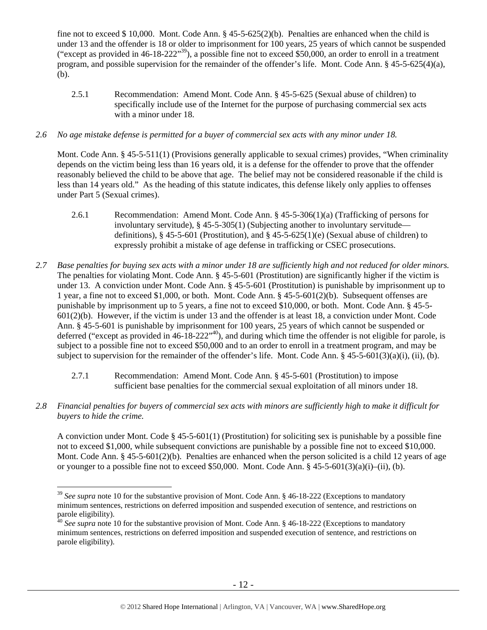fine not to exceed \$ 10,000. Mont. Code Ann. § 45-5-625(2)(b). Penalties are enhanced when the child is under 13 and the offender is 18 or older to imprisonment for 100 years, 25 years of which cannot be suspended ("except as provided in 46-18-222"<sup>39</sup>), a possible fine not to exceed \$50,000, an order to enroll in a treatment program, and possible supervision for the remainder of the offender's life. Mont. Code Ann. § 45-5-625(4)(a), (b).

2.5.1 Recommendation: Amend Mont. Code Ann. § 45-5-625 (Sexual abuse of children) to specifically include use of the Internet for the purpose of purchasing commercial sex acts with a minor under 18.

# *2.6 No age mistake defense is permitted for a buyer of commercial sex acts with any minor under 18.*

Mont. Code Ann. § 45-5-511(1) (Provisions generally applicable to sexual crimes) provides, "When criminality depends on the victim being less than 16 years old, it is a defense for the offender to prove that the offender reasonably believed the child to be above that age. The belief may not be considered reasonable if the child is less than 14 years old." As the heading of this statute indicates, this defense likely only applies to offenses under Part 5 (Sexual crimes).

- 2.6.1 Recommendation: Amend Mont. Code Ann. § 45-5-306(1)(a) (Trafficking of persons for involuntary servitude), § 45-5-305(1) (Subjecting another to involuntary servitude definitions), § 45-5-601 (Prostitution), and § 45-5-625(1)(e) (Sexual abuse of children) to expressly prohibit a mistake of age defense in trafficking or CSEC prosecutions.
- *2.7 Base penalties for buying sex acts with a minor under 18 are sufficiently high and not reduced for older minors.*  The penalties for violating Mont. Code Ann. § 45-5-601 (Prostitution) are significantly higher if the victim is under 13. A conviction under Mont. Code Ann. § 45-5-601 (Prostitution) is punishable by imprisonment up to 1 year, a fine not to exceed \$1,000, or both. Mont. Code Ann. § 45-5-601(2)(b). Subsequent offenses are punishable by imprisonment up to 5 years, a fine not to exceed \$10,000, or both. Mont. Code Ann. § 45-5- 601(2)(b). However, if the victim is under 13 and the offender is at least 18, a conviction under Mont. Code Ann. § 45-5-601 is punishable by imprisonment for 100 years, 25 years of which cannot be suspended or deferred ("except as provided in  $46-18-222"$ <sup>40</sup>), and during which time the offender is not eligible for parole, is subject to a possible fine not to exceed \$50,000 and to an order to enroll in a treatment program, and may be subject to supervision for the remainder of the offender's life. Mont. Code Ann.  $\S$  45-5-601(3)(a)(i), (ii), (b).
	- 2.7.1 Recommendation: Amend Mont. Code Ann. § 45-5-601 (Prostitution) to impose sufficient base penalties for the commercial sexual exploitation of all minors under 18.
- *2.8 Financial penalties for buyers of commercial sex acts with minors are sufficiently high to make it difficult for buyers to hide the crime.*

A conviction under Mont. Code § 45-5-601(1) (Prostitution) for soliciting sex is punishable by a possible fine not to exceed \$1,000, while subsequent convictions are punishable by a possible fine not to exceed \$10,000. Mont. Code Ann. § 45-5-601(2)(b). Penalties are enhanced when the person solicited is a child 12 years of age or younger to a possible fine not to exceed \$50,000. Mont. Code Ann. §  $45-5-601(3)(a)(i)-(ii)$ , (b).

 $\overline{a}$ <sup>39</sup> See supra note 10 for the substantive provision of Mont. Code Ann. § 46-18-222 (Exceptions to mandatory minimum sentences, restrictions on deferred imposition and suspended execution of sentence, and restrictions on parole eligibility).

<sup>&</sup>lt;sup>40</sup> See supra note 10 for the substantive provision of Mont. Code Ann. § 46-18-222 (Exceptions to mandatory minimum sentences, restrictions on deferred imposition and suspended execution of sentence, and restrictions on parole eligibility).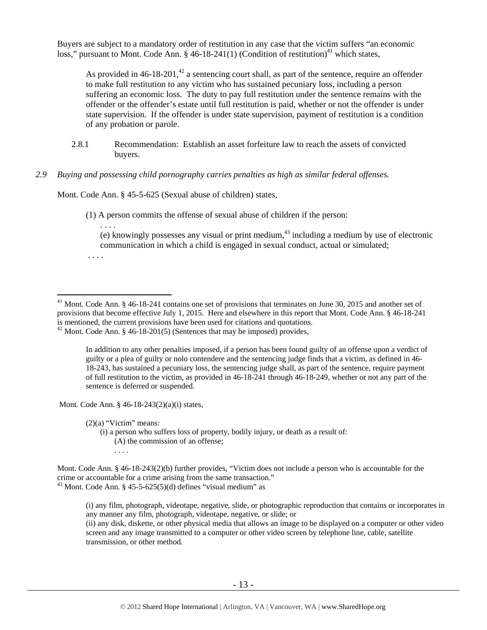Buyers are subject to a mandatory order of restitution in any case that the victim suffers "an economic loss," pursuant to Mont. Code Ann. § 46-18-241(1) (Condition of restitution)<sup>41</sup> which states,

As provided in 46-18-201,<sup>42</sup> a sentencing court shall, as part of the sentence, require an offender to make full restitution to any victim who has sustained pecuniary loss, including a person suffering an economic loss. The duty to pay full restitution under the sentence remains with the offender or the offender's estate until full restitution is paid, whether or not the offender is under state supervision. If the offender is under state supervision, payment of restitution is a condition of any probation or parole.

2.8.1 Recommendation: Establish an asset forfeiture law to reach the assets of convicted buyers.

# *2.9 Buying and possessing child pornography carries penalties as high as similar federal offenses.*

Mont. Code Ann. § 45-5-625 (Sexual abuse of children) states,

(1) A person commits the offense of sexual abuse of children if the person:

. . . . (e) knowingly possesses any visual or print medium, $43$  including a medium by use of electronic communication in which a child is engaged in sexual conduct, actual or simulated;

. . . .

 $\overline{a}$ 

In addition to any other penalties imposed, if a person has been found guilty of an offense upon a verdict of guilty or a plea of guilty or nolo contendere and the sentencing judge finds that a victim, as defined in 46- 18-243, has sustained a pecuniary loss, the sentencing judge shall, as part of the sentence, require payment of full restitution to the victim, as provided in 46-18-241 through 46-18-249, whether or not any part of the sentence is deferred or suspended.

Mont. Code Ann. § 46-18-243(2)(a)(i) states,

 $(2)(a)$  "Victim" means:

(i) a person who suffers loss of property, bodily injury, or death as a result of: (A) the commission of an offense; . . . .

(ii) any disk, diskette, or other physical media that allows an image to be displayed on a computer or other video screen and any image transmitted to a computer or other video screen by telephone line, cable, satellite transmission, or other method.

<sup>&</sup>lt;sup>41</sup> Mont. Code Ann. § 46-18-241 contains one set of provisions that terminates on June 30, 2015 and another set of provisions that become effective July 1, 2015. Here and elsewhere in this report that Mont. Code Ann. § 46-18-241 is mentioned, the current provisions have been used for citations and quotations.

 $42$  Mont. Code Ann. § 46-18-201(5) (Sentences that may be imposed) provides,

Mont. Code Ann. § 46-18-243(2)(b) further provides, "Victim does not include a person who is accountable for the crime or accountable for a crime arising from the same transaction."  $43$  Mont. Code Ann. § 45-5-625(5)(d) defines "visual medium" as

<sup>(</sup>i) any film, photograph, videotape, negative, slide, or photographic reproduction that contains or incorporates in any manner any film, photograph, videotape, negative, or slide; or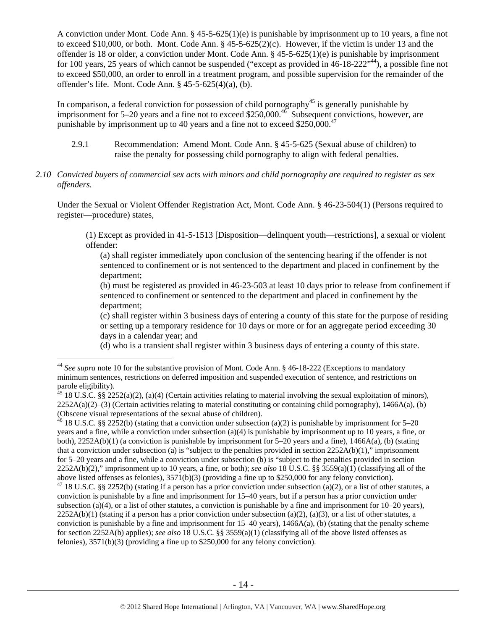A conviction under Mont. Code Ann. § 45-5-625(1)(e) is punishable by imprisonment up to 10 years, a fine not to exceed \$10,000, or both. Mont. Code Ann. § 45-5-625(2)(c). However, if the victim is under 13 and the offender is 18 or older, a conviction under Mont. Code Ann. § 45-5-625(1)(e) is punishable by imprisonment for 100 years, 25 years of which cannot be suspended ("except as provided in 46-18-222"<sup>44</sup>), a possible fine not to exceed \$50,000, an order to enroll in a treatment program, and possible supervision for the remainder of the offender's life. Mont. Code Ann. § 45-5-625(4)(a), (b).

In comparison, a federal conviction for possession of child pornography<sup>45</sup> is generally punishable by imprisonment for 5–20 years and a fine not to exceed \$250,000.<sup>46</sup> Subsequent convictions, however, are punishable by imprisonment up to 40 years and a fine not to exceed  $$250,000.<sup>47</sup>$ 

- 2.9.1 Recommendation: Amend Mont. Code Ann. § 45-5-625 (Sexual abuse of children) to raise the penalty for possessing child pornography to align with federal penalties.
- *2.10 Convicted buyers of commercial sex acts with minors and child pornography are required to register as sex offenders.*

Under the Sexual or Violent Offender Registration Act, Mont. Code Ann. § 46-23-504(1) (Persons required to register—procedure) states,

(1) Except as provided in 41-5-1513 [Disposition—delinquent youth—restrictions], a sexual or violent offender:

(a) shall register immediately upon conclusion of the sentencing hearing if the offender is not sentenced to confinement or is not sentenced to the department and placed in confinement by the department;

(b) must be registered as provided in 46-23-503 at least 10 days prior to release from confinement if sentenced to confinement or sentenced to the department and placed in confinement by the department;

(c) shall register within 3 business days of entering a county of this state for the purpose of residing or setting up a temporary residence for 10 days or more or for an aggregate period exceeding 30 days in a calendar year; and

(d) who is a transient shall register within 3 business days of entering a county of this state.

 $\overline{a}$ 

46 18 U.S.C. §§ 2252(b) (stating that a conviction under subsection (a)(2) is punishable by imprisonment for 5–20 years and a fine, while a conviction under subsection (a)(4) is punishable by imprisonment up to 10 years, a fine, or both), 2252A(b)(1) (a conviction is punishable by imprisonment for 5–20 years and a fine), 1466A(a), (b) (stating that a conviction under subsection (a) is "subject to the penalties provided in section  $2252A(b)(1)$ ," imprisonment for 5–20 years and a fine, while a conviction under subsection (b) is "subject to the penalties provided in section 2252A(b)(2)," imprisonment up to 10 years, a fine, or both); *see also* 18 U.S.C. §§ 3559(a)(1) (classifying all of the above listed offenses as felonies), 3571(b)(3) (providing a fine up to \$250,000 for any felony conviction).

<sup>&</sup>lt;sup>44</sup> See supra note 10 for the substantive provision of Mont. Code Ann. § 46-18-222 (Exceptions to mandatory minimum sentences, restrictions on deferred imposition and suspended execution of sentence, and restrictions on parole eligibility).

 $^{45}$  18 U.S.C. §§ 2252(a)(2), (a)(4) (Certain activities relating to material involving the sexual exploitation of minors),  $2252A(a)(2)$ –(3) (Certain activities relating to material constituting or containing child pornography), 1466A(a), (b) (Obscene visual representations of the sexual abuse of children).

<sup>&</sup>lt;sup>47</sup> 18 U.S.C. §§ 2252(b) (stating if a person has a prior conviction under subsection (a)(2), or a list of other statutes, a conviction is punishable by a fine and imprisonment for 15–40 years, but if a person has a prior conviction under subsection (a)(4), or a list of other statutes, a conviction is punishable by a fine and imprisonment for  $10-20$  years),  $2252A(b)(1)$  (stating if a person has a prior conviction under subsection (a)(2), (a)(3), or a list of other statutes, a conviction is punishable by a fine and imprisonment for 15–40 years), 1466A(a), (b) (stating that the penalty scheme for section 2252A(b) applies); *see also* 18 U.S.C. §§ 3559(a)(1) (classifying all of the above listed offenses as felonies), 3571(b)(3) (providing a fine up to \$250,000 for any felony conviction).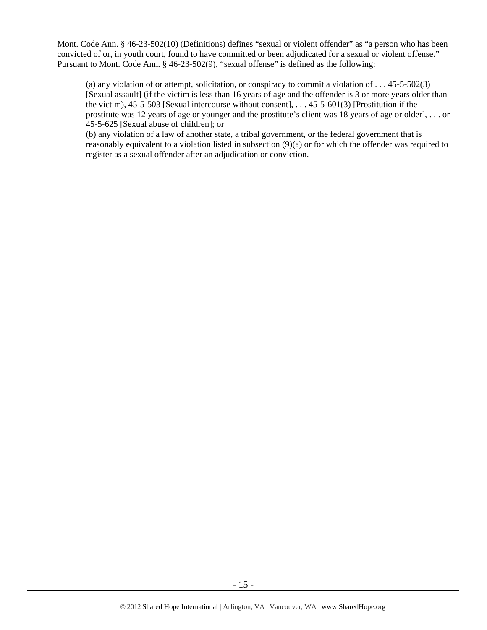Mont. Code Ann. § 46-23-502(10) (Definitions) defines "sexual or violent offender" as "a person who has been convicted of or, in youth court, found to have committed or been adjudicated for a sexual or violent offense." Pursuant to Mont. Code Ann. § 46-23-502(9), "sexual offense" is defined as the following:

(a) any violation of or attempt, solicitation, or conspiracy to commit a violation of  $\dots$  45-5-502(3) [Sexual assault] (if the victim is less than 16 years of age and the offender is 3 or more years older than the victim),  $45-5-503$  [Sexual intercourse without consent], ...  $45-5-601(3)$  [Prostitution if the prostitute was 12 years of age or younger and the prostitute's client was 18 years of age or older], . . . or 45-5-625 [Sexual abuse of children]; or

(b) any violation of a law of another state, a tribal government, or the federal government that is reasonably equivalent to a violation listed in subsection (9)(a) or for which the offender was required to register as a sexual offender after an adjudication or conviction.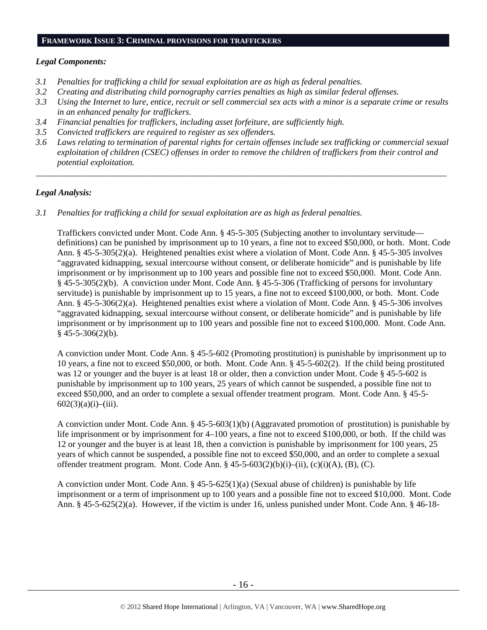#### **FRAMEWORK ISSUE 3: CRIMINAL PROVISIONS FOR TRAFFICKERS**

# *Legal Components:*

- *3.1 Penalties for trafficking a child for sexual exploitation are as high as federal penalties.*
- *3.2 Creating and distributing child pornography carries penalties as high as similar federal offenses.*
- *3.3 Using the Internet to lure, entice, recruit or sell commercial sex acts with a minor is a separate crime or results in an enhanced penalty for traffickers.*
- *3.4 Financial penalties for traffickers, including asset forfeiture, are sufficiently high.*
- *3.5 Convicted traffickers are required to register as sex offenders.*
- *3.6 Laws relating to termination of parental rights for certain offenses include sex trafficking or commercial sexual exploitation of children (CSEC) offenses in order to remove the children of traffickers from their control and potential exploitation.*

*\_\_\_\_\_\_\_\_\_\_\_\_\_\_\_\_\_\_\_\_\_\_\_\_\_\_\_\_\_\_\_\_\_\_\_\_\_\_\_\_\_\_\_\_\_\_\_\_\_\_\_\_\_\_\_\_\_\_\_\_\_\_\_\_\_\_\_\_\_\_\_\_\_\_\_\_\_\_\_\_\_\_\_\_\_\_\_\_\_\_\_\_\_\_* 

# *Legal Analysis:*

*3.1 Penalties for trafficking a child for sexual exploitation are as high as federal penalties.* 

Traffickers convicted under Mont. Code Ann. § 45-5-305 (Subjecting another to involuntary servitude definitions) can be punished by imprisonment up to 10 years, a fine not to exceed \$50,000, or both. Mont. Code Ann. § 45-5-305(2)(a). Heightened penalties exist where a violation of Mont. Code Ann. § 45-5-305 involves "aggravated kidnapping, sexual intercourse without consent, or deliberate homicide" and is punishable by life imprisonment or by imprisonment up to 100 years and possible fine not to exceed \$50,000. Mont. Code Ann. § 45-5-305(2)(b). A conviction under Mont. Code Ann. § 45-5-306 (Trafficking of persons for involuntary servitude) is punishable by imprisonment up to 15 years, a fine not to exceed \$100,000, or both. Mont. Code Ann. § 45-5-306(2)(a). Heightened penalties exist where a violation of Mont. Code Ann. § 45-5-306 involves "aggravated kidnapping, sexual intercourse without consent, or deliberate homicide" and is punishable by life imprisonment or by imprisonment up to 100 years and possible fine not to exceed \$100,000. Mont. Code Ann.  $§$  45-5-306(2)(b).

A conviction under Mont. Code Ann. § 45-5-602 (Promoting prostitution) is punishable by imprisonment up to 10 years, a fine not to exceed \$50,000, or both. Mont. Code Ann. § 45-5-602(2). If the child being prostituted was 12 or younger and the buyer is at least 18 or older, then a conviction under Mont. Code § 45-5-602 is punishable by imprisonment up to 100 years, 25 years of which cannot be suspended, a possible fine not to exceed \$50,000, and an order to complete a sexual offender treatment program. Mont. Code Ann. § 45-5-  $602(3)(a)(i)$ –(iii).

A conviction under Mont. Code Ann. § 45-5-603(1)(b) (Aggravated promotion of prostitution) is punishable by life imprisonment or by imprisonment for 4–100 years, a fine not to exceed \$100,000, or both. If the child was 12 or younger and the buyer is at least 18, then a conviction is punishable by imprisonment for 100 years, 25 years of which cannot be suspended, a possible fine not to exceed \$50,000, and an order to complete a sexual offender treatment program. Mont. Code Ann.  $\S 45-5-603(2)(b)(i)-(ii)$ , (c) $(i)(A)$ , (B), (C).

A conviction under Mont. Code Ann.  $\S 45-5-625(1)(a)$  (Sexual abuse of children) is punishable by life imprisonment or a term of imprisonment up to 100 years and a possible fine not to exceed \$10,000. Mont. Code Ann. § 45-5-625(2)(a). However, if the victim is under 16, unless punished under Mont. Code Ann. § 46-18-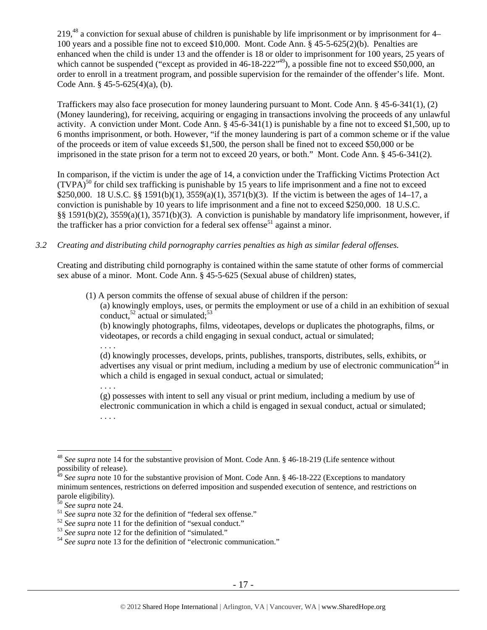219,48 a conviction for sexual abuse of children is punishable by life imprisonment or by imprisonment for 4– 100 years and a possible fine not to exceed \$10,000. Mont. Code Ann. § 45-5-625(2)(b). Penalties are enhanced when the child is under 13 and the offender is 18 or older to imprisonment for 100 years, 25 years of which cannot be suspended ("except as provided in 46-18-222"<sup>49</sup>), a possible fine not to exceed \$50,000, an order to enroll in a treatment program, and possible supervision for the remainder of the offender's life. Mont. Code Ann. § 45-5-625(4)(a), (b).

Traffickers may also face prosecution for money laundering pursuant to Mont. Code Ann. § 45-6-341(1), (2) (Money laundering), for receiving, acquiring or engaging in transactions involving the proceeds of any unlawful activity. A conviction under Mont. Code Ann. § 45-6-341(1) is punishable by a fine not to exceed \$1,500, up to 6 months imprisonment, or both. However, "if the money laundering is part of a common scheme or if the value of the proceeds or item of value exceeds \$1,500, the person shall be fined not to exceed \$50,000 or be imprisoned in the state prison for a term not to exceed 20 years, or both." Mont. Code Ann. § 45-6-341(2).

In comparison, if the victim is under the age of 14, a conviction under the Trafficking Victims Protection Act  $(TVPA)<sup>50</sup>$  for child sex trafficking is punishable by 15 years to life imprisonment and a fine not to exceed \$250,000. 18 U.S.C. §§ 1591(b)(1), 3559(a)(1), 3571(b)(3). If the victim is between the ages of 14–17, a conviction is punishable by 10 years to life imprisonment and a fine not to exceed \$250,000. 18 U.S.C. §§ 1591(b)(2), 3559(a)(1), 3571(b)(3). A conviction is punishable by mandatory life imprisonment, however, if the trafficker has a prior conviction for a federal sex offense<sup>51</sup> against a minor.

# *3.2 Creating and distributing child pornography carries penalties as high as similar federal offenses.*

Creating and distributing child pornography is contained within the same statute of other forms of commercial sex abuse of a minor. Mont. Code Ann. § 45-5-625 (Sexual abuse of children) states,

(1) A person commits the offense of sexual abuse of children if the person:

(a) knowingly employs, uses, or permits the employment or use of a child in an exhibition of sexual conduct,  $52$  actual or simulated;  $53$ 

(b) knowingly photographs, films, videotapes, develops or duplicates the photographs, films, or videotapes, or records a child engaging in sexual conduct, actual or simulated;

. . . .

. . . .

(d) knowingly processes, develops, prints, publishes, transports, distributes, sells, exhibits, or advertises any visual or print medium, including a medium by use of electronic communication<sup>54</sup> in which a child is engaged in sexual conduct, actual or simulated;

(g) possesses with intent to sell any visual or print medium, including a medium by use of electronic communication in which a child is engaged in sexual conduct, actual or simulated; . . . .

<sup>48</sup> *See supra* note 14 for the substantive provision of Mont. Code Ann. § 46-18-219 (Life sentence without possibility of release).

<sup>&</sup>lt;sup>3</sup> See supra note 10 for the substantive provision of Mont. Code Ann. § 46-18-222 (Exceptions to mandatory minimum sentences, restrictions on deferred imposition and suspended execution of sentence, and restrictions on parole eligibility).<br><sup>50</sup> See supra note 24.

<sup>&</sup>lt;sup>51</sup> See supra note 32 for the definition of "federal sex offense."<br><sup>52</sup> See supra note 11 for the definition of "sexual conduct."<br><sup>53</sup> See supra note 12 for the definition of "simulated."<br><sup>54</sup> See supra note 13 for the d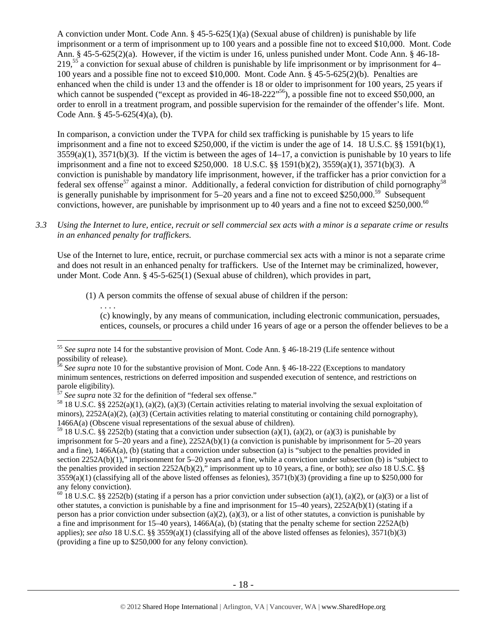A conviction under Mont. Code Ann. § 45-5-625(1)(a) (Sexual abuse of children) is punishable by life imprisonment or a term of imprisonment up to 100 years and a possible fine not to exceed \$10,000. Mont. Code Ann. § 45-5-625(2)(a). However, if the victim is under 16, unless punished under Mont. Code Ann. § 46-18- 219,55 a conviction for sexual abuse of children is punishable by life imprisonment or by imprisonment for 4– 100 years and a possible fine not to exceed \$10,000. Mont. Code Ann. § 45-5-625(2)(b). Penalties are enhanced when the child is under 13 and the offender is 18 or older to imprisonment for 100 years, 25 years if which cannot be suspended ("except as provided in 46-18-222"<sup>56</sup>), a possible fine not to exceed \$50,000, an order to enroll in a treatment program, and possible supervision for the remainder of the offender's life. Mont. Code Ann. § 45-5-625(4)(a), (b).

In comparison, a conviction under the TVPA for child sex trafficking is punishable by 15 years to life imprisonment and a fine not to exceed \$250,000, if the victim is under the age of 14. 18 U.S.C. §§ 1591(b)(1),  $3559(a)(1)$ ,  $3571(b)(3)$ . If the victim is between the ages of  $14-17$ , a conviction is punishable by 10 years to life imprisonment and a fine not to exceed \$250,000. 18 U.S.C. §§ 1591(b)(2), 3559(a)(1), 3571(b)(3). A conviction is punishable by mandatory life imprisonment, however, if the trafficker has a prior conviction for a federal sex offense<sup>57</sup> against a minor. Additionally, a federal conviction for distribution of child pornography<sup>58</sup> is generally punishable by imprisonment for  $5-20$  years and a fine not to exceed \$250,000.<sup>59</sup> Subsequent convictions, however, are punishable by imprisonment up to 40 years and a fine not to exceed \$250,000.<sup>60</sup>

*3.3 Using the Internet to lure, entice, recruit or sell commercial sex acts with a minor is a separate crime or results in an enhanced penalty for traffickers.* 

Use of the Internet to lure, entice, recruit, or purchase commercial sex acts with a minor is not a separate crime and does not result in an enhanced penalty for traffickers. Use of the Internet may be criminalized, however, under Mont. Code Ann. § 45-5-625(1) (Sexual abuse of children), which provides in part,

(1) A person commits the offense of sexual abuse of children if the person:

(c) knowingly, by any means of communication, including electronic communication, persuades, entices, counsels, or procures a child under 16 years of age or a person the offender believes to be a

. . . .

<sup>55</sup> *See supra* note 14 for the substantive provision of Mont. Code Ann. § 46-18-219 (Life sentence without possibility of release).

<sup>&</sup>lt;sup>56</sup> See supra note 10 for the substantive provision of Mont. Code Ann. § 46-18-222 (Exceptions to mandatory minimum sentences, restrictions on deferred imposition and suspended execution of sentence, and restrictions on parole eligibility).<br>
<sup>57</sup> See supra note 32 for the definition of "federal sex offense."

<sup>&</sup>lt;sup>58</sup> 18 U.S.C. §§ 2252(a)(1), (a)(2), (a)(3) (Certain activities relating to material involving the sexual exploitation of minors),  $2252A(a)(2)$ ,  $(a)(3)$  (Certain activities relating to material constituting or containing child pornography), 1466A(a) (Obscene visual representations of the sexual abuse of children).

<sup>&</sup>lt;sup>59</sup> 18 U.S.C. §§ 2252(b) (stating that a conviction under subsection (a)(1), (a)(2), or (a)(3) is punishable by imprisonment for 5–20 years and a fine), 2252A(b)(1) (a conviction is punishable by imprisonment for 5–20 years and a fine), 1466A(a), (b) (stating that a conviction under subsection (a) is "subject to the penalties provided in section 2252A(b)(1)," imprisonment for 5–20 years and a fine, while a conviction under subsection (b) is "subject to the penalties provided in section 2252A(b)(2)," imprisonment up to 10 years, a fine, or both); *see also* 18 U.S.C. §§  $3559(a)(1)$  (classifying all of the above listed offenses as felonies),  $3571(b)(3)$  (providing a fine up to \$250,000 for any felony conviction).

<sup>&</sup>lt;sup>60</sup> 18 U.S.C. §§ 2252(b) (stating if a person has a prior conviction under subsection (a)(1), (a)(2), or (a)(3) or a list of other statutes, a conviction is punishable by a fine and imprisonment for  $15-40$  years),  $2252A(b)(1)$  (stating if a person has a prior conviction under subsection (a)(2), (a)(3), or a list of other statutes, a conviction is punishable by a fine and imprisonment for  $15-40$  years),  $1466A(a)$ , (b) (stating that the penalty scheme for section  $2252A(b)$ applies); *see also* 18 U.S.C. §§ 3559(a)(1) (classifying all of the above listed offenses as felonies), 3571(b)(3) (providing a fine up to \$250,000 for any felony conviction).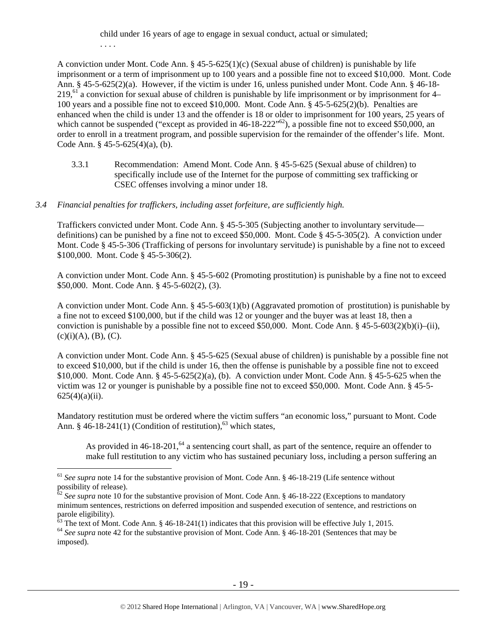child under 16 years of age to engage in sexual conduct, actual or simulated; . . . .

A conviction under Mont. Code Ann.  $\S 45-5-625(1)(c)$  (Sexual abuse of children) is punishable by life imprisonment or a term of imprisonment up to 100 years and a possible fine not to exceed \$10,000. Mont. Code Ann. § 45-5-625(2)(a). However, if the victim is under 16, unless punished under Mont. Code Ann. § 46-18-  $219<sup>61</sup>$  a conviction for sexual abuse of children is punishable by life imprisonment or by imprisonment for 4– 100 years and a possible fine not to exceed \$10,000. Mont. Code Ann. § 45-5-625(2)(b). Penalties are enhanced when the child is under 13 and the offender is 18 or older to imprisonment for 100 years, 25 years of which cannot be suspended ("except as provided in  $46-18-222"^{62}$ ), a possible fine not to exceed \$50,000, an order to enroll in a treatment program, and possible supervision for the remainder of the offender's life. Mont. Code Ann. § 45-5-625(4)(a), (b).

3.3.1 Recommendation: Amend Mont. Code Ann. § 45-5-625 (Sexual abuse of children) to specifically include use of the Internet for the purpose of committing sex trafficking or CSEC offenses involving a minor under 18.

# *3.4 Financial penalties for traffickers, including asset forfeiture, are sufficiently high.*

Traffickers convicted under Mont. Code Ann. § 45-5-305 (Subjecting another to involuntary servitude definitions) can be punished by a fine not to exceed \$50,000. Mont. Code § 45-5-305(2). A conviction under Mont. Code § 45-5-306 (Trafficking of persons for involuntary servitude) is punishable by a fine not to exceed \$100,000. Mont. Code § 45-5-306(2).

A conviction under Mont. Code Ann. § 45-5-602 (Promoting prostitution) is punishable by a fine not to exceed \$50,000. Mont. Code Ann. § 45-5-602(2), (3).

A conviction under Mont. Code Ann. § 45-5-603(1)(b) (Aggravated promotion of prostitution) is punishable by a fine not to exceed \$100,000, but if the child was 12 or younger and the buyer was at least 18, then a conviction is punishable by a possible fine not to exceed \$50,000. Mont. Code Ann. §  $45-5-603(2)(b)(i)–(ii)$ ,  $(c)(i)(A), (B), (C).$ 

A conviction under Mont. Code Ann. § 45-5-625 (Sexual abuse of children) is punishable by a possible fine not to exceed \$10,000, but if the child is under 16, then the offense is punishable by a possible fine not to exceed \$10,000. Mont. Code Ann. § 45-5-625(2)(a), (b). A conviction under Mont. Code Ann. § 45-5-625 when the victim was 12 or younger is punishable by a possible fine not to exceed \$50,000. Mont. Code Ann. § 45-5-  $625(4)(a)(ii)$ .

Mandatory restitution must be ordered where the victim suffers "an economic loss," pursuant to Mont. Code Ann. § 46-18-241(1) (Condition of restitution), $^{63}$  which states,

As provided in  $46-18-201$ ,  $64$  a sentencing court shall, as part of the sentence, require an offender to make full restitution to any victim who has sustained pecuniary loss, including a person suffering an

<sup>&</sup>lt;sup>61</sup> See supra note 14 for the substantive provision of Mont. Code Ann. § 46-18-219 (Life sentence without possibility of release).

<sup>&</sup>lt;sup>62</sup> See supra note 10 for the substantive provision of Mont. Code Ann. § 46-18-222 (Exceptions to mandatory minimum sentences, restrictions on deferred imposition and suspended execution of sentence, and restrictions on parole eligibility).

<sup>&</sup>lt;sup>63</sup> The text of Mont. Code Ann. § 46-18-241(1) indicates that this provision will be effective July 1, 2015. <sup>64</sup> *See supra* note 42 for the substantive provision of Mont. Code Ann. § 46-18-201 (Sentences that may be

imposed).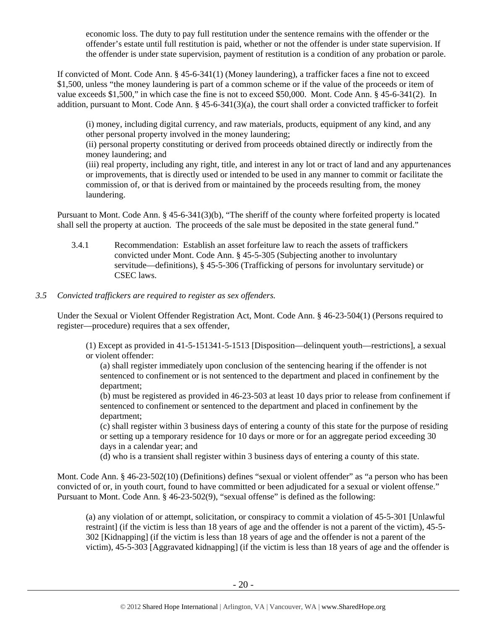economic loss. The duty to pay full restitution under the sentence remains with the offender or the offender's estate until full restitution is paid, whether or not the offender is under state supervision. If the offender is under state supervision, payment of restitution is a condition of any probation or parole.

If convicted of Mont. Code Ann. § 45-6-341(1) (Money laundering), a trafficker faces a fine not to exceed \$1,500, unless "the money laundering is part of a common scheme or if the value of the proceeds or item of value exceeds \$1,500," in which case the fine is not to exceed \$50,000. Mont. Code Ann. § 45-6-341(2). In addition, pursuant to Mont. Code Ann. § 45-6-341(3)(a), the court shall order a convicted trafficker to forfeit

(i) money, including digital currency, and raw materials, products, equipment of any kind, and any other personal property involved in the money laundering;

(ii) personal property constituting or derived from proceeds obtained directly or indirectly from the money laundering; and

(iii) real property, including any right, title, and interest in any lot or tract of land and any appurtenances or improvements, that is directly used or intended to be used in any manner to commit or facilitate the commission of, or that is derived from or maintained by the proceeds resulting from, the money laundering.

Pursuant to Mont. Code Ann. § 45-6-341(3)(b), "The sheriff of the county where forfeited property is located shall sell the property at auction. The proceeds of the sale must be deposited in the state general fund."

3.4.1 Recommendation: Establish an asset forfeiture law to reach the assets of traffickers convicted under Mont. Code Ann. § 45-5-305 (Subjecting another to involuntary servitude—definitions), § 45-5-306 (Trafficking of persons for involuntary servitude) or CSEC laws.

# *3.5 Convicted traffickers are required to register as sex offenders.*

Under the Sexual or Violent Offender Registration Act, Mont. Code Ann. § 46-23-504(1) (Persons required to register—procedure) requires that a sex offender,

(1) Except as provided in 41-5-151341-5-1513 [Disposition—delinquent youth—restrictions], a sexual or violent offender:

(a) shall register immediately upon conclusion of the sentencing hearing if the offender is not sentenced to confinement or is not sentenced to the department and placed in confinement by the department;

(b) must be registered as provided in 46-23-503 at least 10 days prior to release from confinement if sentenced to confinement or sentenced to the department and placed in confinement by the department;

(c) shall register within 3 business days of entering a county of this state for the purpose of residing or setting up a temporary residence for 10 days or more or for an aggregate period exceeding 30 days in a calendar year; and

(d) who is a transient shall register within 3 business days of entering a county of this state.

Mont. Code Ann. § 46-23-502(10) (Definitions) defines "sexual or violent offender" as "a person who has been convicted of or, in youth court, found to have committed or been adjudicated for a sexual or violent offense." Pursuant to Mont. Code Ann. § 46-23-502(9), "sexual offense" is defined as the following:

(a) any violation of or attempt, solicitation, or conspiracy to commit a violation of 45-5-301 [Unlawful restraint] (if the victim is less than 18 years of age and the offender is not a parent of the victim), 45-5- 302 [Kidnapping] (if the victim is less than 18 years of age and the offender is not a parent of the victim), 45-5-303 [Aggravated kidnapping] (if the victim is less than 18 years of age and the offender is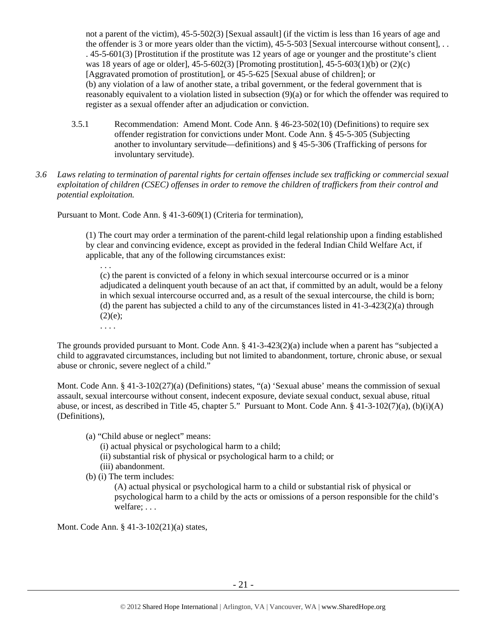not a parent of the victim), 45-5-502(3) [Sexual assault] (if the victim is less than 16 years of age and the offender is 3 or more years older than the victim), 45-5-503 [Sexual intercourse without consent], . . . 45-5-601(3) [Prostitution if the prostitute was 12 years of age or younger and the prostitute's client was 18 years of age or older],  $45-5-602(3)$  [Promoting prostitution],  $45-5-603(1)(b)$  or  $(2)(c)$ [Aggravated promotion of prostitution], or 45-5-625 [Sexual abuse of children]; or (b) any violation of a law of another state, a tribal government, or the federal government that is reasonably equivalent to a violation listed in subsection (9)(a) or for which the offender was required to register as a sexual offender after an adjudication or conviction.

- 3.5.1 Recommendation: Amend Mont. Code Ann. § 46-23-502(10) (Definitions) to require sex offender registration for convictions under Mont. Code Ann. § 45-5-305 (Subjecting another to involuntary servitude—definitions) and § 45-5-306 (Trafficking of persons for involuntary servitude).
- *3.6 Laws relating to termination of parental rights for certain offenses include sex trafficking or commercial sexual exploitation of children (CSEC) offenses in order to remove the children of traffickers from their control and potential exploitation.*

Pursuant to Mont. Code Ann. § 41-3-609(1) (Criteria for termination),

(1) The court may order a termination of the parent-child legal relationship upon a finding established by clear and convincing evidence, except as provided in the federal Indian Child Welfare Act, if applicable, that any of the following circumstances exist:

(c) the parent is convicted of a felony in which sexual intercourse occurred or is a minor adjudicated a delinquent youth because of an act that, if committed by an adult, would be a felony in which sexual intercourse occurred and, as a result of the sexual intercourse, the child is born; (d) the parent has subjected a child to any of the circumstances listed in  $41-3-423(2)(a)$  through  $(2)(e);$ . . . .

The grounds provided pursuant to Mont. Code Ann. § 41-3-423(2)(a) include when a parent has "subjected a child to aggravated circumstances, including but not limited to abandonment, torture, chronic abuse, or sexual abuse or chronic, severe neglect of a child."

Mont. Code Ann. § 41-3-102(27)(a) (Definitions) states, "(a) 'Sexual abuse' means the commission of sexual assault, sexual intercourse without consent, indecent exposure, deviate sexual conduct, sexual abuse, ritual abuse, or incest, as described in Title 45, chapter 5." Pursuant to Mont. Code Ann. § 41-3-102(7)(a), (b)(i)(A) (Definitions),

(a) "Child abuse or neglect" means:

(i) actual physical or psychological harm to a child;

(ii) substantial risk of physical or psychological harm to a child; or

(iii) abandonment.

(b) (i) The term includes:

. . .

(A) actual physical or psychological harm to a child or substantial risk of physical or psychological harm to a child by the acts or omissions of a person responsible for the child's welfare; . . .

Mont. Code Ann. § 41-3-102(21)(a) states,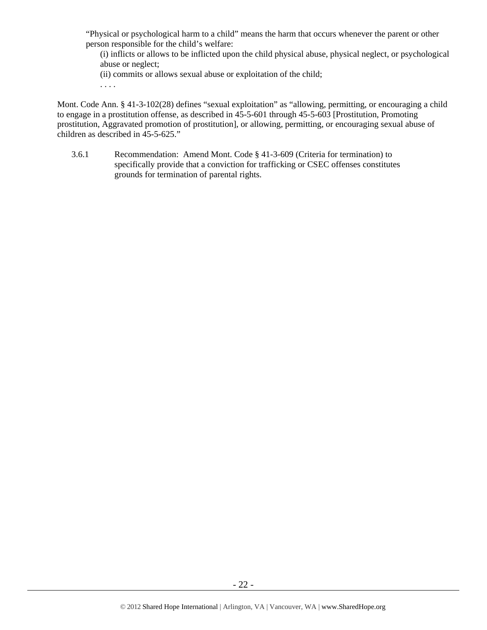"Physical or psychological harm to a child" means the harm that occurs whenever the parent or other person responsible for the child's welfare:

(i) inflicts or allows to be inflicted upon the child physical abuse, physical neglect, or psychological abuse or neglect;

(ii) commits or allows sexual abuse or exploitation of the child;

. . . .

Mont. Code Ann. § 41-3-102(28) defines "sexual exploitation" as "allowing, permitting, or encouraging a child to engage in a prostitution offense, as described in 45-5-601 through 45-5-603 [Prostitution, Promoting prostitution, Aggravated promotion of prostitution], or allowing, permitting, or encouraging sexual abuse of children as described in 45-5-625."

3.6.1 Recommendation: Amend Mont. Code § 41-3-609 (Criteria for termination) to specifically provide that a conviction for trafficking or CSEC offenses constitutes grounds for termination of parental rights.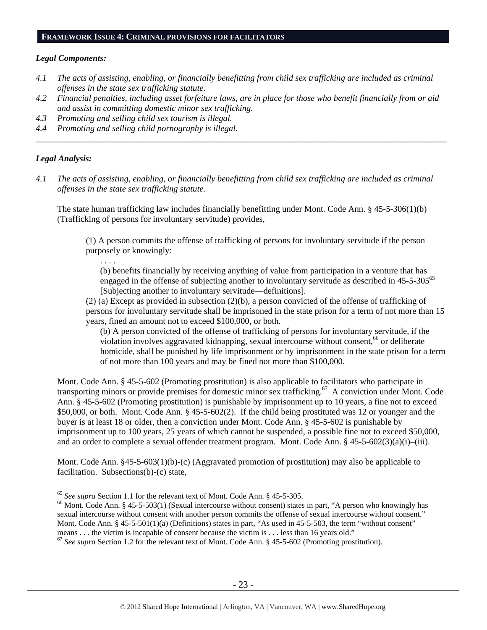#### **FRAMEWORK ISSUE 4: CRIMINAL PROVISIONS FOR FACILITATORS**

#### *Legal Components:*

- *4.1 The acts of assisting, enabling, or financially benefitting from child sex trafficking are included as criminal offenses in the state sex trafficking statute.*
- *4.2 Financial penalties, including asset forfeiture laws, are in place for those who benefit financially from or aid and assist in committing domestic minor sex trafficking.*

*\_\_\_\_\_\_\_\_\_\_\_\_\_\_\_\_\_\_\_\_\_\_\_\_\_\_\_\_\_\_\_\_\_\_\_\_\_\_\_\_\_\_\_\_\_\_\_\_\_\_\_\_\_\_\_\_\_\_\_\_\_\_\_\_\_\_\_\_\_\_\_\_\_\_\_\_\_\_\_\_\_\_\_\_\_\_\_\_\_\_\_\_\_\_* 

- *4.3 Promoting and selling child sex tourism is illegal.*
- *4.4 Promoting and selling child pornography is illegal.*

# *Legal Analysis:*

*4.1 The acts of assisting, enabling, or financially benefitting from child sex trafficking are included as criminal offenses in the state sex trafficking statute.* 

The state human trafficking law includes financially benefitting under Mont. Code Ann. § 45-5-306(1)(b) (Trafficking of persons for involuntary servitude) provides,

(1) A person commits the offense of trafficking of persons for involuntary servitude if the person purposely or knowingly:

. . . .

(b) benefits financially by receiving anything of value from participation in a venture that has engaged in the offense of subjecting another to involuntary servitude as described in 45-5-305<sup>65</sup> [Subjecting another to involuntary servitude—definitions].

(2) (a) Except as provided in subsection (2)(b), a person convicted of the offense of trafficking of persons for involuntary servitude shall be imprisoned in the state prison for a term of not more than 15 years, fined an amount not to exceed \$100,000, or both.

(b) A person convicted of the offense of trafficking of persons for involuntary servitude, if the violation involves aggravated kidnapping, sexual intercourse without consent,<sup>66</sup> or deliberate homicide, shall be punished by life imprisonment or by imprisonment in the state prison for a term of not more than 100 years and may be fined not more than \$100,000.

Mont. Code Ann. § 45-5-602 (Promoting prostitution) is also applicable to facilitators who participate in transporting minors or provide premises for domestic minor sex trafficking.67 A conviction under Mont. Code Ann. § 45-5-602 (Promoting prostitution) is punishable by imprisonment up to 10 years, a fine not to exceed \$50,000, or both. Mont. Code Ann. § 45-5-602(2). If the child being prostituted was 12 or younger and the buyer is at least 18 or older, then a conviction under Mont. Code Ann. § 45-5-602 is punishable by imprisonment up to 100 years, 25 years of which cannot be suspended, a possible fine not to exceed \$50,000, and an order to complete a sexual offender treatment program. Mont. Code Ann. § 45-5-602(3)(a)(i)–(iii).

Mont. Code Ann. §45-5-603(1)(b)-(c) (Aggravated promotion of prostitution) may also be applicable to facilitation. Subsections(b)-(c) state,

<sup>&</sup>lt;sup>65</sup> See supra Section 1.1 for the relevant text of Mont. Code Ann. § 45-5-305.

<sup>&</sup>lt;sup>66</sup> Mont. Code Ann. § 45-5-503(1) (Sexual intercourse without consent) states in part, "A person who knowingly has sexual intercourse without consent with another person commits the offense of sexual intercourse without consent." Mont. Code Ann. § 45-5-501(1)(a) (Definitions) states in part, "As used in 45-5-503, the term "without consent" means . . . the victim is incapable of consent because the victim is . . . less than 16 years old."

<sup>&</sup>lt;sup>67</sup> See supra Section 1.2 for the relevant text of Mont. Code Ann. § 45-5-602 (Promoting prostitution).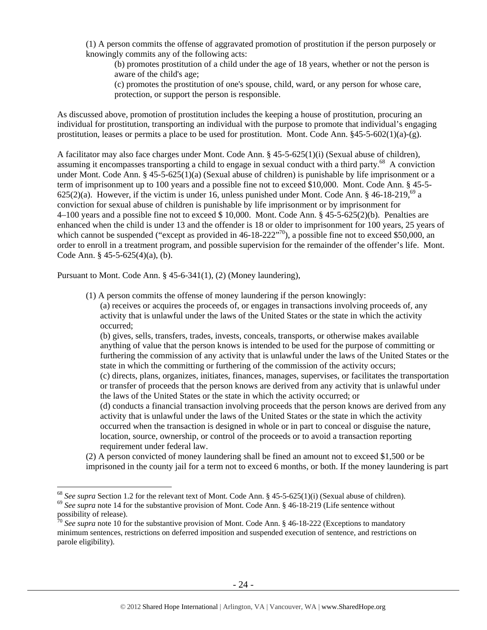(1) A person commits the offense of aggravated promotion of prostitution if the person purposely or knowingly commits any of the following acts:

(b) promotes prostitution of a child under the age of 18 years, whether or not the person is aware of the child's age;

(c) promotes the prostitution of one's spouse, child, ward, or any person for whose care, protection, or support the person is responsible.

As discussed above, promotion of prostitution includes the keeping a house of prostitution, procuring an individual for prostitution, transporting an individual with the purpose to promote that individual's engaging prostitution, leases or permits a place to be used for prostitution. Mont. Code Ann.  $§45-5-602(1)(a)-(g)$ .

A facilitator may also face charges under Mont. Code Ann. § 45-5-625(1)(i) (Sexual abuse of children), assuming it encompasses transporting a child to engage in sexual conduct with a third party.<sup>68</sup> A conviction under Mont. Code Ann. § 45-5-625(1)(a) (Sexual abuse of children) is punishable by life imprisonment or a term of imprisonment up to 100 years and a possible fine not to exceed \$10,000. Mont. Code Ann. § 45-5- 625(2)(a). However, if the victim is under 16, unless punished under Mont. Code Ann.  $\S$  46-18-219,<sup>69</sup> a conviction for sexual abuse of children is punishable by life imprisonment or by imprisonment for 4–100 years and a possible fine not to exceed \$ 10,000. Mont. Code Ann. § 45-5-625(2)(b). Penalties are enhanced when the child is under 13 and the offender is 18 or older to imprisonment for 100 years, 25 years of which cannot be suspended ("except as provided in 46-18-222"<sup>70</sup>), a possible fine not to exceed \$50,000, an order to enroll in a treatment program, and possible supervision for the remainder of the offender's life. Mont. Code Ann. § 45-5-625(4)(a), (b).

Pursuant to Mont. Code Ann. § 45-6-341(1), (2) (Money laundering),

 $\overline{a}$ 

(1) A person commits the offense of money laundering if the person knowingly:

(a) receives or acquires the proceeds of, or engages in transactions involving proceeds of, any activity that is unlawful under the laws of the United States or the state in which the activity occurred;

(b) gives, sells, transfers, trades, invests, conceals, transports, or otherwise makes available anything of value that the person knows is intended to be used for the purpose of committing or furthering the commission of any activity that is unlawful under the laws of the United States or the state in which the committing or furthering of the commission of the activity occurs; (c) directs, plans, organizes, initiates, finances, manages, supervises, or facilitates the transportation or transfer of proceeds that the person knows are derived from any activity that is unlawful under the laws of the United States or the state in which the activity occurred; or (d) conducts a financial transaction involving proceeds that the person knows are derived from any activity that is unlawful under the laws of the United States or the state in which the activity occurred when the transaction is designed in whole or in part to conceal or disguise the nature, location, source, ownership, or control of the proceeds or to avoid a transaction reporting requirement under federal law.

(2) A person convicted of money laundering shall be fined an amount not to exceed \$1,500 or be imprisoned in the county jail for a term not to exceed 6 months, or both. If the money laundering is part

<sup>&</sup>lt;sup>68</sup> See supra Section 1.2 for the relevant text of Mont. Code Ann. § 45-5-625(1)(i) (Sexual abuse of children).<br><sup>69</sup> See supra note 14 for the substantive provision of Mont. Code Ann. § 46-18-219 (Life sentence without possibility of release).

<sup>70</sup> *See supra* note 10 for the substantive provision of Mont. Code Ann. § 46-18-222 (Exceptions to mandatory minimum sentences, restrictions on deferred imposition and suspended execution of sentence, and restrictions on parole eligibility).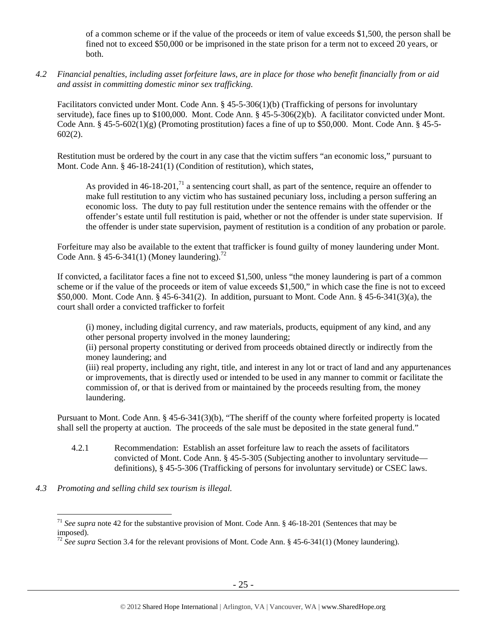of a common scheme or if the value of the proceeds or item of value exceeds \$1,500, the person shall be fined not to exceed \$50,000 or be imprisoned in the state prison for a term not to exceed 20 years, or both.

*4.2 Financial penalties, including asset forfeiture laws, are in place for those who benefit financially from or aid and assist in committing domestic minor sex trafficking.* 

Facilitators convicted under Mont. Code Ann. § 45-5-306(1)(b) (Trafficking of persons for involuntary servitude), face fines up to \$100,000. Mont. Code Ann. § 45-5-306(2)(b). A facilitator convicted under Mont. Code Ann.  $\S$  45-5-602(1)(g) (Promoting prostitution) faces a fine of up to \$50,000. Mont. Code Ann.  $\S$  45-5-602(2).

Restitution must be ordered by the court in any case that the victim suffers "an economic loss," pursuant to Mont. Code Ann. § 46-18-241(1) (Condition of restitution), which states,

As provided in  $46-18-201$ ,<sup>71</sup> a sentencing court shall, as part of the sentence, require an offender to make full restitution to any victim who has sustained pecuniary loss, including a person suffering an economic loss. The duty to pay full restitution under the sentence remains with the offender or the offender's estate until full restitution is paid, whether or not the offender is under state supervision. If the offender is under state supervision, payment of restitution is a condition of any probation or parole.

Forfeiture may also be available to the extent that trafficker is found guilty of money laundering under Mont. Code Ann. § 45-6-341(1) (Money laundering).<sup>72</sup>

If convicted, a facilitator faces a fine not to exceed \$1,500, unless "the money laundering is part of a common scheme or if the value of the proceeds or item of value exceeds \$1,500," in which case the fine is not to exceed \$50,000. Mont. Code Ann. § 45-6-341(2). In addition, pursuant to Mont. Code Ann. § 45-6-341(3)(a), the court shall order a convicted trafficker to forfeit

(i) money, including digital currency, and raw materials, products, equipment of any kind, and any other personal property involved in the money laundering;

(ii) personal property constituting or derived from proceeds obtained directly or indirectly from the money laundering; and

(iii) real property, including any right, title, and interest in any lot or tract of land and any appurtenances or improvements, that is directly used or intended to be used in any manner to commit or facilitate the commission of, or that is derived from or maintained by the proceeds resulting from, the money laundering.

Pursuant to Mont. Code Ann. § 45-6-341(3)(b), "The sheriff of the county where forfeited property is located shall sell the property at auction. The proceeds of the sale must be deposited in the state general fund."

- 4.2.1 Recommendation: Establish an asset forfeiture law to reach the assets of facilitators convicted of Mont. Code Ann. § 45-5-305 (Subjecting another to involuntary servitude definitions), § 45-5-306 (Trafficking of persons for involuntary servitude) or CSEC laws.
- *4.3 Promoting and selling child sex tourism is illegal.*

<sup>71</sup> *See supra* note 42 for the substantive provision of Mont. Code Ann. § 46-18-201 (Sentences that may be imposed).

<sup>&</sup>lt;sup>72</sup> See supra Section 3.4 for the relevant provisions of Mont. Code Ann. § 45-6-341(1) (Money laundering).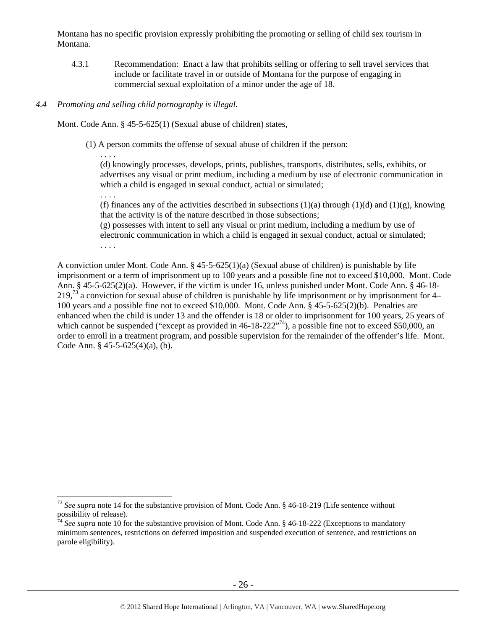Montana has no specific provision expressly prohibiting the promoting or selling of child sex tourism in Montana.

4.3.1 Recommendation: Enact a law that prohibits selling or offering to sell travel services that include or facilitate travel in or outside of Montana for the purpose of engaging in commercial sexual exploitation of a minor under the age of 18.

# *4.4 Promoting and selling child pornography is illegal.*

Mont. Code Ann. § 45-5-625(1) (Sexual abuse of children) states,

(1) A person commits the offense of sexual abuse of children if the person:

(d) knowingly processes, develops, prints, publishes, transports, distributes, sells, exhibits, or advertises any visual or print medium, including a medium by use of electronic communication in which a child is engaged in sexual conduct, actual or simulated;

. . . .

 $\overline{a}$ 

. . . .

(f) finances any of the activities described in subsections  $(1)(a)$  through  $(1)(d)$  and  $(1)(g)$ , knowing that the activity is of the nature described in those subsections;

(g) possesses with intent to sell any visual or print medium, including a medium by use of electronic communication in which a child is engaged in sexual conduct, actual or simulated; . . . .

A conviction under Mont. Code Ann. § 45-5-625(1)(a) (Sexual abuse of children) is punishable by life imprisonment or a term of imprisonment up to 100 years and a possible fine not to exceed \$10,000. Mont. Code Ann. § 45-5-625(2)(a). However, if the victim is under 16, unless punished under Mont. Code Ann. § 46-18-  $219<sup>73</sup>$  a conviction for sexual abuse of children is punishable by life imprisonment or by imprisonment for 4– 100 years and a possible fine not to exceed \$10,000. Mont. Code Ann. § 45-5-625(2)(b). Penalties are enhanced when the child is under 13 and the offender is 18 or older to imprisonment for 100 years, 25 years of which cannot be suspended ("except as provided in  $46-18-222"$ <sup>74</sup>), a possible fine not to exceed \$50,000, an order to enroll in a treatment program, and possible supervision for the remainder of the offender's life. Mont. Code Ann. § 45-5-625(4)(a), (b).

<sup>73</sup> *See supra* note 14 for the substantive provision of Mont. Code Ann. § 46-18-219 (Life sentence without possibility of release).

<sup>&</sup>lt;sup>74</sup> See supra note 10 for the substantive provision of Mont. Code Ann. § 46-18-222 (Exceptions to mandatory minimum sentences, restrictions on deferred imposition and suspended execution of sentence, and restrictions on parole eligibility).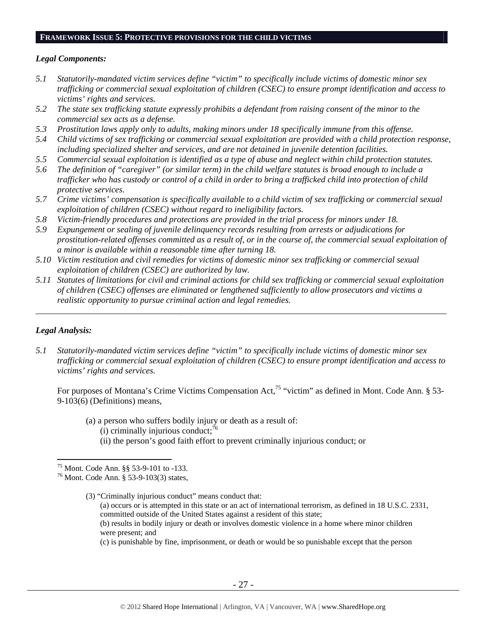#### **FRAMEWORK ISSUE 5: PROTECTIVE PROVISIONS FOR THE CHILD VICTIMS**

#### *Legal Components:*

- *5.1 Statutorily-mandated victim services define "victim" to specifically include victims of domestic minor sex trafficking or commercial sexual exploitation of children (CSEC) to ensure prompt identification and access to victims' rights and services.*
- *5.2 The state sex trafficking statute expressly prohibits a defendant from raising consent of the minor to the commercial sex acts as a defense.*
- *5.3 Prostitution laws apply only to adults, making minors under 18 specifically immune from this offense.*
- *5.4 Child victims of sex trafficking or commercial sexual exploitation are provided with a child protection response, including specialized shelter and services, and are not detained in juvenile detention facilities.*
- *5.5 Commercial sexual exploitation is identified as a type of abuse and neglect within child protection statutes.*
- *5.6 The definition of "caregiver" (or similar term) in the child welfare statutes is broad enough to include a*  trafficker who has custody or control of a child in order to bring a trafficked child into protection of child *protective services.*
- *5.7 Crime victims' compensation is specifically available to a child victim of sex trafficking or commercial sexual exploitation of children (CSEC) without regard to ineligibility factors.*
- *5.8 Victim-friendly procedures and protections are provided in the trial process for minors under 18.*
- *5.9 Expungement or sealing of juvenile delinquency records resulting from arrests or adjudications for prostitution-related offenses committed as a result of, or in the course of, the commercial sexual exploitation of a minor is available within a reasonable time after turning 18.*
- *5.10 Victim restitution and civil remedies for victims of domestic minor sex trafficking or commercial sexual exploitation of children (CSEC) are authorized by law.*
- *5.11 Statutes of limitations for civil and criminal actions for child sex trafficking or commercial sexual exploitation of children (CSEC) offenses are eliminated or lengthened sufficiently to allow prosecutors and victims a realistic opportunity to pursue criminal action and legal remedies.*

*\_\_\_\_\_\_\_\_\_\_\_\_\_\_\_\_\_\_\_\_\_\_\_\_\_\_\_\_\_\_\_\_\_\_\_\_\_\_\_\_\_\_\_\_\_\_\_\_\_\_\_\_\_\_\_\_\_\_\_\_\_\_\_\_\_\_\_\_\_\_\_\_\_\_\_\_\_\_\_\_\_\_\_\_\_\_\_\_\_\_\_\_\_\_* 

#### *Legal Analysis:*

 $\overline{a}$ 

*5.1 Statutorily-mandated victim services define "victim" to specifically include victims of domestic minor sex trafficking or commercial sexual exploitation of children (CSEC) to ensure prompt identification and access to victims' rights and services.* 

For purposes of Montana's Crime Victims Compensation Act,<sup>75</sup> "victim" as defined in Mont. Code Ann. § 53-9-103(6) (Definitions) means,

(a) a person who suffers bodily injury or death as a result of: (i) criminally injurious conduct; $^{76}$ 

(ii) the person's good faith effort to prevent criminally injurious conduct; or

(3) "Criminally injurious conduct" means conduct that: (a) occurs or is attempted in this state or an act of international terrorism, as defined in 18 U.S.C. 2331, committed outside of the United States against a resident of this state; (b) results in bodily injury or death or involves domestic violence in a home where minor children were present; and

(c) is punishable by fine, imprisonment, or death or would be so punishable except that the person

<sup>75</sup> Mont. Code Ann. §§ 53-9-101 to -133.

<sup>76</sup> Mont. Code Ann. § 53-9-103(3) states,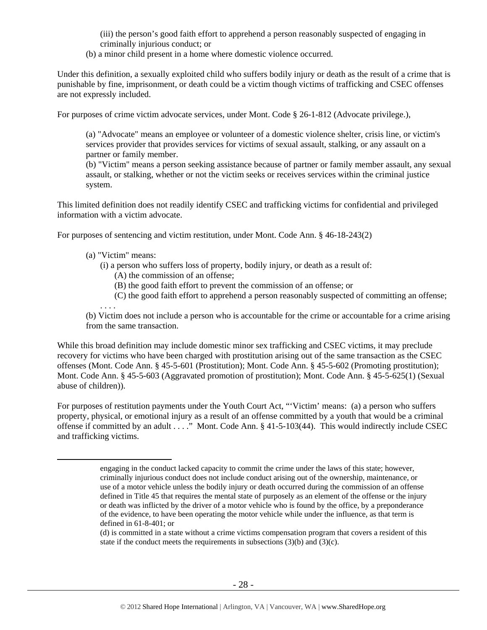(iii) the person's good faith effort to apprehend a person reasonably suspected of engaging in criminally injurious conduct; or

(b) a minor child present in a home where domestic violence occurred.

Under this definition, a sexually exploited child who suffers bodily injury or death as the result of a crime that is punishable by fine, imprisonment, or death could be a victim though victims of trafficking and CSEC offenses are not expressly included.

For purposes of crime victim advocate services, under Mont. Code § 26-1-812 (Advocate privilege.),

(a) "Advocate" means an employee or volunteer of a domestic violence shelter, crisis line, or victim's services provider that provides services for victims of sexual assault, stalking, or any assault on a partner or family member.

(b) "Victim" means a person seeking assistance because of partner or family member assault, any sexual assault, or stalking, whether or not the victim seeks or receives services within the criminal justice system.

This limited definition does not readily identify CSEC and trafficking victims for confidential and privileged information with a victim advocate.

For purposes of sentencing and victim restitution, under Mont. Code Ann. § 46-18-243(2)

## (a) "Victim" means:

. . . .

- (i) a person who suffers loss of property, bodily injury, or death as a result of:
	- (A) the commission of an offense;
	- (B) the good faith effort to prevent the commission of an offense; or
	- (C) the good faith effort to apprehend a person reasonably suspected of committing an offense;

(b) Victim does not include a person who is accountable for the crime or accountable for a crime arising from the same transaction.

While this broad definition may include domestic minor sex trafficking and CSEC victims, it may preclude recovery for victims who have been charged with prostitution arising out of the same transaction as the CSEC offenses (Mont. Code Ann. § 45-5-601 (Prostitution); Mont. Code Ann. § 45-5-602 (Promoting prostitution); Mont. Code Ann. § 45-5-603 (Aggravated promotion of prostitution); Mont. Code Ann. § 45-5-625(1) (Sexual abuse of children)).

For purposes of restitution payments under the Youth Court Act, "'Victim' means: (a) a person who suffers property, physical, or emotional injury as a result of an offense committed by a youth that would be a criminal offense if committed by an adult . . . ." Mont. Code Ann. § 41-5-103(44). This would indirectly include CSEC and trafficking victims.

engaging in the conduct lacked capacity to commit the crime under the laws of this state; however, criminally injurious conduct does not include conduct arising out of the ownership, maintenance, or use of a motor vehicle unless the bodily injury or death occurred during the commission of an offense defined in Title 45 that requires the mental state of purposely as an element of the offense or the injury or death was inflicted by the driver of a motor vehicle who is found by the office, by a preponderance of the evidence, to have been operating the motor vehicle while under the influence, as that term is defined in 61-8-401; or

<sup>(</sup>d) is committed in a state without a crime victims compensation program that covers a resident of this state if the conduct meets the requirements in subsections  $(3)(b)$  and  $(3)(c)$ .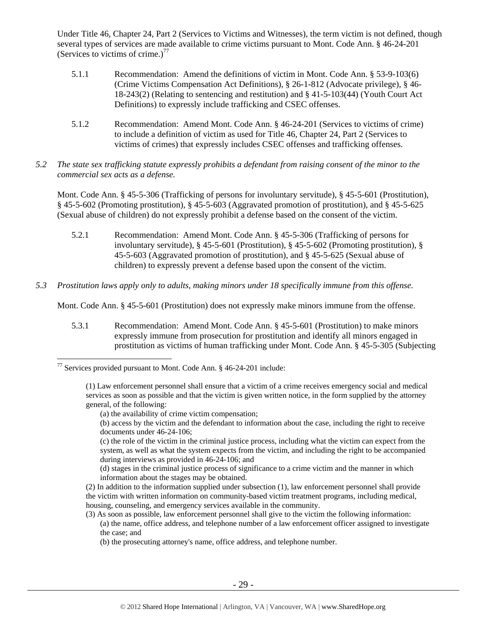Under Title 46, Chapter 24, Part 2 (Services to Victims and Witnesses), the term victim is not defined, though several types of services are made available to crime victims pursuant to Mont. Code Ann. § 46-24-201 (Services to victims of crime.)<sup>77</sup>

- 5.1.1 Recommendation: Amend the definitions of victim in Mont. Code Ann. § 53-9-103(6) (Crime Victims Compensation Act Definitions), § 26-1-812 (Advocate privilege), § 46- 18-243(2) (Relating to sentencing and restitution) and § 41-5-103(44) (Youth Court Act Definitions) to expressly include trafficking and CSEC offenses.
- 5.1.2 Recommendation: Amend Mont. Code Ann. § 46-24-201 (Services to victims of crime) to include a definition of victim as used for Title 46, Chapter 24, Part 2 (Services to victims of crimes) that expressly includes CSEC offenses and trafficking offenses.
- *5.2 The state sex trafficking statute expressly prohibits a defendant from raising consent of the minor to the commercial sex acts as a defense.*

Mont. Code Ann. § 45-5-306 (Trafficking of persons for involuntary servitude), § 45-5-601 (Prostitution), § 45-5-602 (Promoting prostitution), § 45-5-603 (Aggravated promotion of prostitution), and § 45-5-625 (Sexual abuse of children) do not expressly prohibit a defense based on the consent of the victim.

- 5.2.1 Recommendation: Amend Mont. Code Ann. § 45-5-306 (Trafficking of persons for involuntary servitude), § 45-5-601 (Prostitution), § 45-5-602 (Promoting prostitution), § 45-5-603 (Aggravated promotion of prostitution), and § 45-5-625 (Sexual abuse of children) to expressly prevent a defense based upon the consent of the victim.
- *5.3 Prostitution laws apply only to adults, making minors under 18 specifically immune from this offense.*

Mont. Code Ann. § 45-5-601 (Prostitution) does not expressly make minors immune from the offense.

5.3.1 Recommendation: Amend Mont. Code Ann. § 45-5-601 (Prostitution) to make minors expressly immune from prosecution for prostitution and identify all minors engaged in prostitution as victims of human trafficking under Mont. Code Ann. § 45-5-305 (Subjecting

 $77$  Services provided pursuant to Mont. Code Ann. § 46-24-201 include:

<sup>(1)</sup> Law enforcement personnel shall ensure that a victim of a crime receives emergency social and medical services as soon as possible and that the victim is given written notice, in the form supplied by the attorney general, of the following:

<sup>(</sup>a) the availability of crime victim compensation;

<sup>(</sup>b) access by the victim and the defendant to information about the case, including the right to receive documents under 46-24-106;

<sup>(</sup>c) the role of the victim in the criminal justice process, including what the victim can expect from the system, as well as what the system expects from the victim, and including the right to be accompanied during interviews as provided in 46-24-106; and

<sup>(</sup>d) stages in the criminal justice process of significance to a crime victim and the manner in which information about the stages may be obtained.

<sup>(2)</sup> In addition to the information supplied under subsection (1), law enforcement personnel shall provide the victim with written information on community-based victim treatment programs, including medical, housing, counseling, and emergency services available in the community.

<sup>(3)</sup> As soon as possible, law enforcement personnel shall give to the victim the following information: (a) the name, office address, and telephone number of a law enforcement officer assigned to investigate

the case; and

<sup>(</sup>b) the prosecuting attorney's name, office address, and telephone number.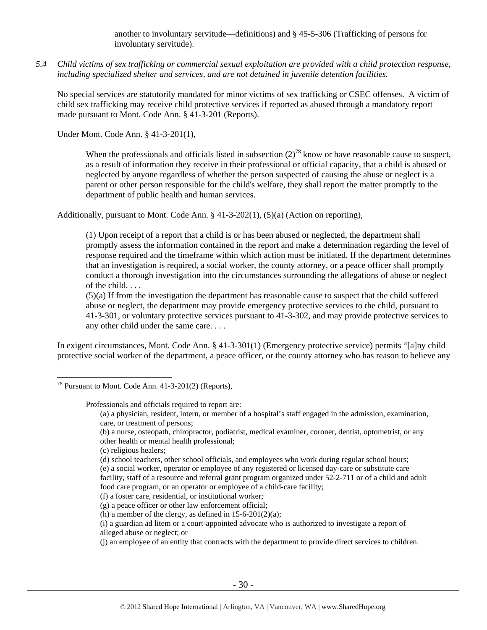another to involuntary servitude—definitions) and § 45-5-306 (Trafficking of persons for involuntary servitude).

*5.4 Child victims of sex trafficking or commercial sexual exploitation are provided with a child protection response, including specialized shelter and services, and are not detained in juvenile detention facilities.* 

No special services are statutorily mandated for minor victims of sex trafficking or CSEC offenses. A victim of child sex trafficking may receive child protective services if reported as abused through a mandatory report made pursuant to Mont. Code Ann. § 41-3-201 (Reports).

Under Mont. Code Ann. § 41-3-201(1),

When the professionals and officials listed in subsection  $(2)^{78}$  know or have reasonable cause to suspect, as a result of information they receive in their professional or official capacity, that a child is abused or neglected by anyone regardless of whether the person suspected of causing the abuse or neglect is a parent or other person responsible for the child's welfare, they shall report the matter promptly to the department of public health and human services.

Additionally, pursuant to Mont. Code Ann.  $\S 41-3-202(1)$ ,  $(5)(a)$  (Action on reporting),

(1) Upon receipt of a report that a child is or has been abused or neglected, the department shall promptly assess the information contained in the report and make a determination regarding the level of response required and the timeframe within which action must be initiated. If the department determines that an investigation is required, a social worker, the county attorney, or a peace officer shall promptly conduct a thorough investigation into the circumstances surrounding the allegations of abuse or neglect of the child. . . .

(5)(a) If from the investigation the department has reasonable cause to suspect that the child suffered abuse or neglect, the department may provide emergency protective services to the child, pursuant to 41-3-301, or voluntary protective services pursuant to 41-3-302, and may provide protective services to any other child under the same care. . . .

In exigent circumstances, Mont. Code Ann. § 41-3-301(1) (Emergency protective service) permits "[a]ny child protective social worker of the department, a peace officer, or the county attorney who has reason to believe any

 $\overline{a}$ 

Professionals and officials required to report are:

<sup>78</sup> Pursuant to Mont. Code Ann. 41-3-201(2) (Reports),

<sup>(</sup>a) a physician, resident, intern, or member of a hospital's staff engaged in the admission, examination, care, or treatment of persons;

<sup>(</sup>b) a nurse, osteopath, chiropractor, podiatrist, medical examiner, coroner, dentist, optometrist, or any other health or mental health professional;

<sup>(</sup>c) religious healers;

<sup>(</sup>d) school teachers, other school officials, and employees who work during regular school hours; (e) a social worker, operator or employee of any registered or licensed day-care or substitute care facility, staff of a resource and referral grant program organized under 52-2-711 or of a child and adult food care program, or an operator or employee of a child-care facility;

<sup>(</sup>f) a foster care, residential, or institutional worker;

<sup>(</sup>g) a peace officer or other law enforcement official;

<sup>(</sup>h) a member of the clergy, as defined in  $15-6-201(2)(a)$ ;

<sup>(</sup>i) a guardian ad litem or a court-appointed advocate who is authorized to investigate a report of alleged abuse or neglect; or

<sup>(</sup>j) an employee of an entity that contracts with the department to provide direct services to children.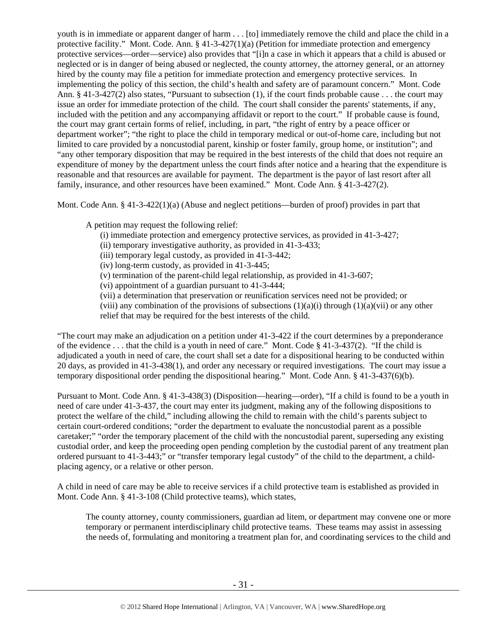youth is in immediate or apparent danger of harm . . . [to] immediately remove the child and place the child in a protective facility." Mont. Code. Ann. § 41-3-427(1)(a) (Petition for immediate protection and emergency protective services—order—service) also provides that "[i]n a case in which it appears that a child is abused or neglected or is in danger of being abused or neglected, the county attorney, the attorney general, or an attorney hired by the county may file a petition for immediate protection and emergency protective services. In implementing the policy of this section, the child's health and safety are of paramount concern." Mont. Code Ann. § 41-3-427(2) also states, "Pursuant to subsection (1), if the court finds probable cause . . . the court may issue an order for immediate protection of the child. The court shall consider the parents' statements, if any, included with the petition and any accompanying affidavit or report to the court." If probable cause is found, the court may grant certain forms of relief, including, in part, "the right of entry by a peace officer or department worker"; "the right to place the child in temporary medical or out-of-home care, including but not limited to care provided by a noncustodial parent, kinship or foster family, group home, or institution"; and "any other temporary disposition that may be required in the best interests of the child that does not require an expenditure of money by the department unless the court finds after notice and a hearing that the expenditure is reasonable and that resources are available for payment. The department is the payor of last resort after all family, insurance, and other resources have been examined." Mont. Code Ann. § 41-3-427(2).

Mont. Code Ann. § 41-3-422(1)(a) (Abuse and neglect petitions—burden of proof) provides in part that

A petition may request the following relief:

- (i) immediate protection and emergency protective services, as provided in 41-3-427;
- (ii) temporary investigative authority, as provided in 41-3-433;
- (iii) temporary legal custody, as provided in 41-3-442;
- (iv) long-term custody, as provided in 41-3-445;
- (v) termination of the parent-child legal relationship, as provided in 41-3-607;
- (vi) appointment of a guardian pursuant to 41-3-444;
- (vii) a determination that preservation or reunification services need not be provided; or
- (viii) any combination of the provisions of subsections  $(1)(a)(i)$  through  $(1)(a)(vi)$  or any other relief that may be required for the best interests of the child.

"The court may make an adjudication on a petition under 41-3-422 if the court determines by a preponderance of the evidence . . . that the child is a youth in need of care." Mont. Code § 41-3-437(2). "If the child is adjudicated a youth in need of care, the court shall set a date for a dispositional hearing to be conducted within 20 days, as provided in 41-3-438(1), and order any necessary or required investigations. The court may issue a temporary dispositional order pending the dispositional hearing." Mont. Code Ann. § 41-3-437(6)(b).

Pursuant to Mont. Code Ann. § 41-3-438(3) (Disposition—hearing—order), "If a child is found to be a youth in need of care under 41-3-437, the court may enter its judgment, making any of the following dispositions to protect the welfare of the child," including allowing the child to remain with the child's parents subject to certain court-ordered conditions; "order the department to evaluate the noncustodial parent as a possible caretaker;" "order the temporary placement of the child with the noncustodial parent, superseding any existing custodial order, and keep the proceeding open pending completion by the custodial parent of any treatment plan ordered pursuant to 41-3-443;" or "transfer temporary legal custody" of the child to the department, a childplacing agency, or a relative or other person.

A child in need of care may be able to receive services if a child protective team is established as provided in Mont. Code Ann. § 41-3-108 (Child protective teams), which states,

The county attorney, county commissioners, guardian ad litem, or department may convene one or more temporary or permanent interdisciplinary child protective teams. These teams may assist in assessing the needs of, formulating and monitoring a treatment plan for, and coordinating services to the child and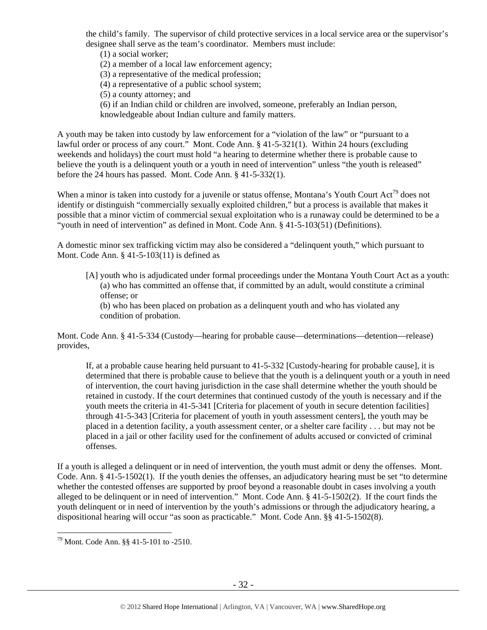the child's family. The supervisor of child protective services in a local service area or the supervisor's designee shall serve as the team's coordinator. Members must include:

(1) a social worker;

(2) a member of a local law enforcement agency;

(3) a representative of the medical profession;

(4) a representative of a public school system;

(5) a county attorney; and

(6) if an Indian child or children are involved, someone, preferably an Indian person, knowledgeable about Indian culture and family matters.

A youth may be taken into custody by law enforcement for a "violation of the law" or "pursuant to a lawful order or process of any court." Mont. Code Ann. § 41-5-321(1). Within 24 hours (excluding weekends and holidays) the court must hold "a hearing to determine whether there is probable cause to believe the youth is a delinquent youth or a youth in need of intervention" unless "the youth is released" before the 24 hours has passed. Mont. Code Ann. § 41-5-332(1).

When a minor is taken into custody for a juvenile or status offense, Montana's Youth Court Act<sup>79</sup> does not identify or distinguish "commercially sexually exploited children," but a process is available that makes it possible that a minor victim of commercial sexual exploitation who is a runaway could be determined to be a "youth in need of intervention" as defined in Mont. Code Ann. § 41-5-103(51) (Definitions).

A domestic minor sex trafficking victim may also be considered a "delinquent youth," which pursuant to Mont. Code Ann. § 41-5-103(11) is defined as

[A] youth who is adjudicated under formal proceedings under the Montana Youth Court Act as a youth: (a) who has committed an offense that, if committed by an adult, would constitute a criminal offense; or

(b) who has been placed on probation as a delinquent youth and who has violated any condition of probation.

Mont. Code Ann. § 41-5-334 (Custody—hearing for probable cause—determinations—detention—release) provides,

If, at a probable cause hearing held pursuant to 41-5-332 [Custody-hearing for probable cause], it is determined that there is probable cause to believe that the youth is a delinquent youth or a youth in need of intervention, the court having jurisdiction in the case shall determine whether the youth should be retained in custody. If the court determines that continued custody of the youth is necessary and if the youth meets the criteria in 41-5-341 [Criteria for placement of youth in secure detention facilities] through 41-5-343 [Criteria for placement of youth in youth assessment centers], the youth may be placed in a detention facility, a youth assessment center, or a shelter care facility . . . but may not be placed in a jail or other facility used for the confinement of adults accused or convicted of criminal offenses.

If a youth is alleged a delinquent or in need of intervention, the youth must admit or deny the offenses. Mont. Code. Ann. § 41-5-1502(1). If the youth denies the offenses, an adjudicatory hearing must be set "to determine whether the contested offenses are supported by proof beyond a reasonable doubt in cases involving a youth alleged to be delinquent or in need of intervention." Mont. Code Ann. § 41-5-1502(2). If the court finds the youth delinquent or in need of intervention by the youth's admissions or through the adjudicatory hearing, a dispositional hearing will occur "as soon as practicable." Mont. Code Ann. §§ 41-5-1502(8).

<sup>79</sup> Mont. Code Ann. §§ 41-5-101 to -2510.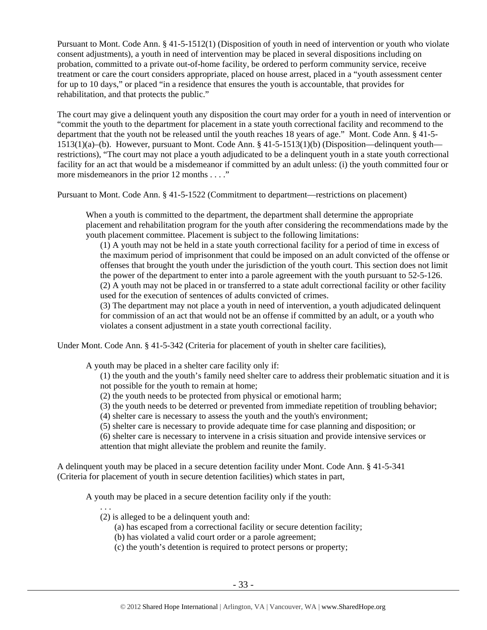Pursuant to Mont. Code Ann. § 41-5-1512(1) (Disposition of youth in need of intervention or youth who violate consent adjustments), a youth in need of intervention may be placed in several dispositions including on probation, committed to a private out-of-home facility, be ordered to perform community service, receive treatment or care the court considers appropriate, placed on house arrest, placed in a "youth assessment center for up to 10 days," or placed "in a residence that ensures the youth is accountable, that provides for rehabilitation, and that protects the public."

The court may give a delinquent youth any disposition the court may order for a youth in need of intervention or "commit the youth to the department for placement in a state youth correctional facility and recommend to the department that the youth not be released until the youth reaches 18 years of age." Mont. Code Ann. § 41-5- 1513(1)(a)–(b). However, pursuant to Mont. Code Ann. § 41-5-1513(1)(b) (Disposition—delinquent youth restrictions), "The court may not place a youth adjudicated to be a delinquent youth in a state youth correctional facility for an act that would be a misdemeanor if committed by an adult unless: (i) the youth committed four or more misdemeanors in the prior 12 months . . . ."

Pursuant to Mont. Code Ann. § 41-5-1522 (Commitment to department—restrictions on placement)

When a youth is committed to the department, the department shall determine the appropriate placement and rehabilitation program for the youth after considering the recommendations made by the youth placement committee. Placement is subject to the following limitations:

(1) A youth may not be held in a state youth correctional facility for a period of time in excess of the maximum period of imprisonment that could be imposed on an adult convicted of the offense or offenses that brought the youth under the jurisdiction of the youth court. This section does not limit the power of the department to enter into a parole agreement with the youth pursuant to 52-5-126. (2) A youth may not be placed in or transferred to a state adult correctional facility or other facility used for the execution of sentences of adults convicted of crimes.

(3) The department may not place a youth in need of intervention, a youth adjudicated delinquent for commission of an act that would not be an offense if committed by an adult, or a youth who violates a consent adjustment in a state youth correctional facility.

Under Mont. Code Ann. § 41-5-342 (Criteria for placement of youth in shelter care facilities),

A youth may be placed in a shelter care facility only if:

(1) the youth and the youth's family need shelter care to address their problematic situation and it is not possible for the youth to remain at home;

- (2) the youth needs to be protected from physical or emotional harm;
- (3) the youth needs to be deterred or prevented from immediate repetition of troubling behavior;
- (4) shelter care is necessary to assess the youth and the youth's environment;
- (5) shelter care is necessary to provide adequate time for case planning and disposition; or

(6) shelter care is necessary to intervene in a crisis situation and provide intensive services or attention that might alleviate the problem and reunite the family.

A delinquent youth may be placed in a secure detention facility under Mont. Code Ann. § 41-5-341 (Criteria for placement of youth in secure detention facilities) which states in part,

A youth may be placed in a secure detention facility only if the youth:

(2) is alleged to be a delinquent youth and:

. . .

- (a) has escaped from a correctional facility or secure detention facility;
- (b) has violated a valid court order or a parole agreement;
- (c) the youth's detention is required to protect persons or property;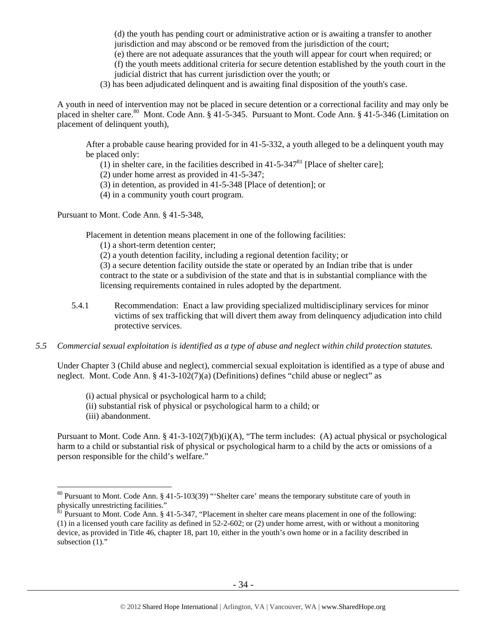(d) the youth has pending court or administrative action or is awaiting a transfer to another jurisdiction and may abscond or be removed from the jurisdiction of the court;

(e) there are not adequate assurances that the youth will appear for court when required; or (f) the youth meets additional criteria for secure detention established by the youth court in the judicial district that has current jurisdiction over the youth; or

(3) has been adjudicated delinquent and is awaiting final disposition of the youth's case.

A youth in need of intervention may not be placed in secure detention or a correctional facility and may only be placed in shelter care.<sup>80</sup> Mont. Code Ann. § 41-5-345. Pursuant to Mont. Code Ann. § 41-5-346 (Limitation on placement of delinquent youth),

After a probable cause hearing provided for in 41-5-332, a youth alleged to be a delinquent youth may be placed only:

- (1) in shelter care, in the facilities described in  $41-5-347<sup>81</sup>$  [Place of shelter care];
- (2) under home arrest as provided in 41-5-347;
- (3) in detention, as provided in 41-5-348 [Place of detention]; or
- (4) in a community youth court program.

Pursuant to Mont. Code Ann. § 41-5-348,

Placement in detention means placement in one of the following facilities:

(1) a short-term detention center;

(2) a youth detention facility, including a regional detention facility; or

(3) a secure detention facility outside the state or operated by an Indian tribe that is under contract to the state or a subdivision of the state and that is in substantial compliance with the licensing requirements contained in rules adopted by the department.

5.4.1 Recommendation: Enact a law providing specialized multidisciplinary services for minor victims of sex trafficking that will divert them away from delinquency adjudication into child protective services.

# *5.5 Commercial sexual exploitation is identified as a type of abuse and neglect within child protection statutes.*

Under Chapter 3 (Child abuse and neglect), commercial sexual exploitation is identified as a type of abuse and neglect. Mont. Code Ann. § 41-3-102(7)(a) (Definitions) defines "child abuse or neglect" as

- (i) actual physical or psychological harm to a child;
- (ii) substantial risk of physical or psychological harm to a child; or

(iii) abandonment.

 $\overline{a}$ 

Pursuant to Mont. Code Ann. § 41-3-102(7)(b)(i)(A), "The term includes: (A) actual physical or psychological harm to a child or substantial risk of physical or psychological harm to a child by the acts or omissions of a person responsible for the child's welfare."

 $80$  Pursuant to Mont. Code Ann. § 41-5-103(39) "'Shelter care' means the temporary substitute care of youth in physically unrestricting facilities."

 ${}^{81}$  Pursuant to Mont. Code Ann. § 41-5-347, "Placement in shelter care means placement in one of the following: (1) in a licensed youth care facility as defined in 52-2-602; or (2) under home arrest, with or without a monitoring device, as provided in Title 46, chapter 18, part 10, either in the youth's own home or in a facility described in subsection  $(1)$ ."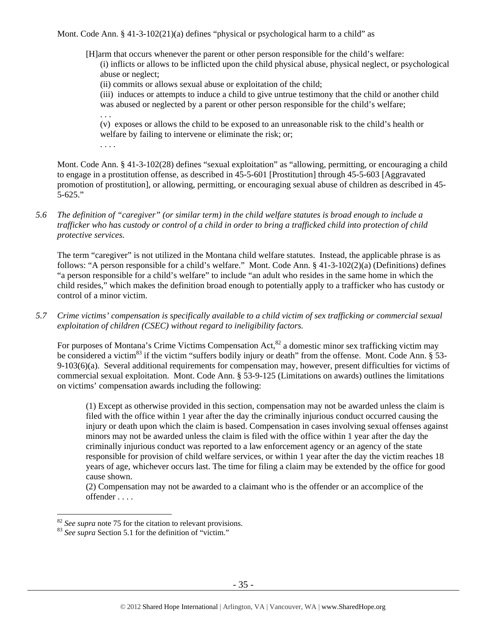Mont. Code Ann.  $\S$  41-3-102(21)(a) defines "physical or psychological harm to a child" as

[H]arm that occurs whenever the parent or other person responsible for the child's welfare:

(i) inflicts or allows to be inflicted upon the child physical abuse, physical neglect, or psychological abuse or neglect;

(ii) commits or allows sexual abuse or exploitation of the child;

(iii) induces or attempts to induce a child to give untrue testimony that the child or another child was abused or neglected by a parent or other person responsible for the child's welfare;

. . . (v) exposes or allows the child to be exposed to an unreasonable risk to the child's health or welfare by failing to intervene or eliminate the risk; or;

. . . .

Mont. Code Ann. § 41-3-102(28) defines "sexual exploitation" as "allowing, permitting, or encouraging a child to engage in a prostitution offense, as described in 45-5-601 [Prostitution] through 45-5-603 [Aggravated promotion of prostitution], or allowing, permitting, or encouraging sexual abuse of children as described in 45- 5-625."

*5.6 The definition of "caregiver" (or similar term) in the child welfare statutes is broad enough to include a trafficker who has custody or control of a child in order to bring a trafficked child into protection of child protective services.* 

The term "caregiver" is not utilized in the Montana child welfare statutes. Instead, the applicable phrase is as follows: "A person responsible for a child's welfare." Mont. Code Ann. § 41-3-102(2)(a) (Definitions) defines "a person responsible for a child's welfare" to include "an adult who resides in the same home in which the child resides," which makes the definition broad enough to potentially apply to a trafficker who has custody or control of a minor victim.

*5.7 Crime victims' compensation is specifically available to a child victim of sex trafficking or commercial sexual exploitation of children (CSEC) without regard to ineligibility factors.* 

For purposes of Montana's Crime Victims Compensation Act,  ${}^{82}$  a domestic minor sex trafficking victim may be considered a victim<sup>83</sup> if the victim "suffers bodily injury or death" from the offense. Mont. Code Ann. § 53-9-103(6)(a). Several additional requirements for compensation may, however, present difficulties for victims of commercial sexual exploitation. Mont. Code Ann. § 53-9-125 (Limitations on awards) outlines the limitations on victims' compensation awards including the following:

(1) Except as otherwise provided in this section, compensation may not be awarded unless the claim is filed with the office within 1 year after the day the criminally injurious conduct occurred causing the injury or death upon which the claim is based. Compensation in cases involving sexual offenses against minors may not be awarded unless the claim is filed with the office within 1 year after the day the criminally injurious conduct was reported to a law enforcement agency or an agency of the state responsible for provision of child welfare services, or within 1 year after the day the victim reaches 18 years of age, whichever occurs last. The time for filing a claim may be extended by the office for good cause shown.

(2) Compensation may not be awarded to a claimant who is the offender or an accomplice of the offender . . . .

<sup>&</sup>lt;sup>82</sup> *See supra* note 75 for the citation to relevant provisions.<br><sup>83</sup> *See supra* Section 5.1 for the definition of "victim."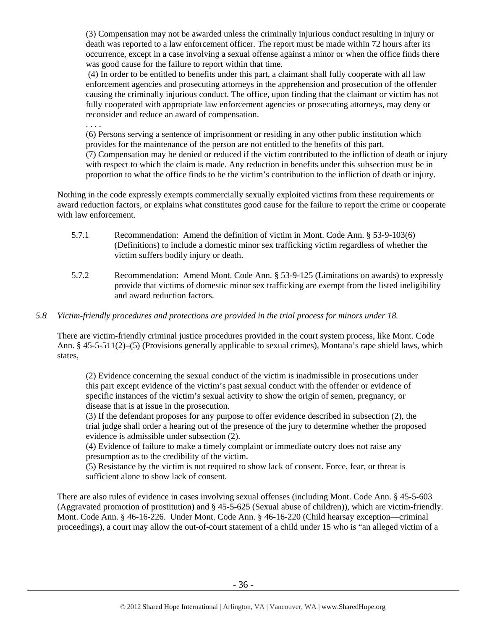(3) Compensation may not be awarded unless the criminally injurious conduct resulting in injury or death was reported to a law enforcement officer. The report must be made within 72 hours after its occurrence, except in a case involving a sexual offense against a minor or when the office finds there was good cause for the failure to report within that time.

 (4) In order to be entitled to benefits under this part, a claimant shall fully cooperate with all law enforcement agencies and prosecuting attorneys in the apprehension and prosecution of the offender causing the criminally injurious conduct. The office, upon finding that the claimant or victim has not fully cooperated with appropriate law enforcement agencies or prosecuting attorneys, may deny or reconsider and reduce an award of compensation.

. . . .

(6) Persons serving a sentence of imprisonment or residing in any other public institution which provides for the maintenance of the person are not entitled to the benefits of this part. (7) Compensation may be denied or reduced if the victim contributed to the infliction of death or injury with respect to which the claim is made. Any reduction in benefits under this subsection must be in proportion to what the office finds to be the victim's contribution to the infliction of death or injury.

Nothing in the code expressly exempts commercially sexually exploited victims from these requirements or award reduction factors, or explains what constitutes good cause for the failure to report the crime or cooperate with law enforcement.

- 5.7.1 Recommendation: Amend the definition of victim in Mont. Code Ann. § 53-9-103(6) (Definitions) to include a domestic minor sex trafficking victim regardless of whether the victim suffers bodily injury or death.
- 5.7.2 Recommendation: Amend Mont. Code Ann. § 53-9-125 (Limitations on awards) to expressly provide that victims of domestic minor sex trafficking are exempt from the listed ineligibility and award reduction factors.

# *5.8 Victim-friendly procedures and protections are provided in the trial process for minors under 18.*

There are victim-friendly criminal justice procedures provided in the court system process, like Mont. Code Ann. § 45-5-511(2)–(5) (Provisions generally applicable to sexual crimes), Montana's rape shield laws, which states,

(2) Evidence concerning the sexual conduct of the victim is inadmissible in prosecutions under this part except evidence of the victim's past sexual conduct with the offender or evidence of specific instances of the victim's sexual activity to show the origin of semen, pregnancy, or disease that is at issue in the prosecution.

(3) If the defendant proposes for any purpose to offer evidence described in subsection (2), the trial judge shall order a hearing out of the presence of the jury to determine whether the proposed evidence is admissible under subsection (2).

(4) Evidence of failure to make a timely complaint or immediate outcry does not raise any presumption as to the credibility of the victim.

(5) Resistance by the victim is not required to show lack of consent. Force, fear, or threat is sufficient alone to show lack of consent.

There are also rules of evidence in cases involving sexual offenses (including Mont. Code Ann. § 45-5-603 (Aggravated promotion of prostitution) and § 45-5-625 (Sexual abuse of children)), which are victim-friendly. Mont. Code Ann. § 46-16-226. Under Mont. Code Ann. § 46-16-220 (Child hearsay exception—criminal proceedings), a court may allow the out-of-court statement of a child under 15 who is "an alleged victim of a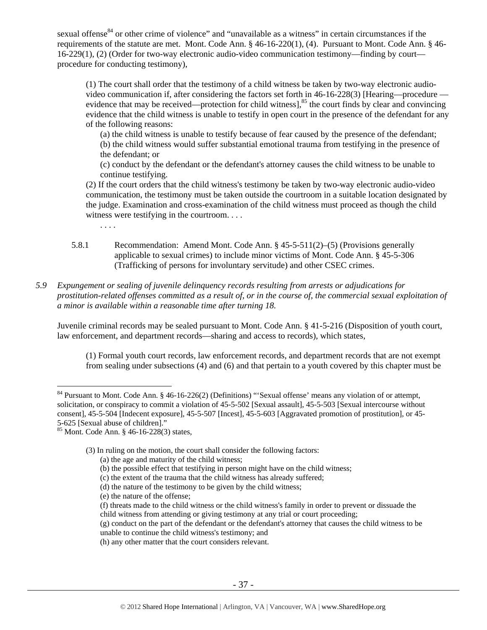sexual offense<sup>84</sup> or other crime of violence" and "unavailable as a witness" in certain circumstances if the requirements of the statute are met. Mont. Code Ann. § 46-16-220(1), (4). Pursuant to Mont. Code Ann. § 46- 16-229(1), (2) (Order for two-way electronic audio-video communication testimony—finding by court procedure for conducting testimony),

(1) The court shall order that the testimony of a child witness be taken by two-way electronic audiovideo communication if, after considering the factors set forth in 46-16-228(3) [Hearing—procedure evidence that may be received—protection for child witness],<sup>85</sup> the court finds by clear and convincing evidence that the child witness is unable to testify in open court in the presence of the defendant for any of the following reasons:

(a) the child witness is unable to testify because of fear caused by the presence of the defendant; (b) the child witness would suffer substantial emotional trauma from testifying in the presence of the defendant; or

(c) conduct by the defendant or the defendant's attorney causes the child witness to be unable to continue testifying.

(2) If the court orders that the child witness's testimony be taken by two-way electronic audio-video communication, the testimony must be taken outside the courtroom in a suitable location designated by the judge. Examination and cross-examination of the child witness must proceed as though the child witness were testifying in the courtroom....

. . . .

- 5.8.1 Recommendation: Amend Mont. Code Ann. § 45-5-511(2)–(5) (Provisions generally applicable to sexual crimes) to include minor victims of Mont. Code Ann. § 45-5-306 (Trafficking of persons for involuntary servitude) and other CSEC crimes.
- *5.9 Expungement or sealing of juvenile delinquency records resulting from arrests or adjudications for prostitution-related offenses committed as a result of, or in the course of, the commercial sexual exploitation of a minor is available within a reasonable time after turning 18.*

Juvenile criminal records may be sealed pursuant to Mont. Code Ann. § 41-5-216 (Disposition of youth court, law enforcement, and department records—sharing and access to records), which states,

(1) Formal youth court records, law enforcement records, and department records that are not exempt from sealing under subsections (4) and (6) and that pertain to a youth covered by this chapter must be

 $\overline{a}$ 

(3) In ruling on the motion, the court shall consider the following factors:

(b) the possible effect that testifying in person might have on the child witness;

- (e) the nature of the offense;
- (f) threats made to the child witness or the child witness's family in order to prevent or dissuade the child witness from attending or giving testimony at any trial or court proceeding;
- (g) conduct on the part of the defendant or the defendant's attorney that causes the child witness to be unable to continue the child witness's testimony; and

 $84$  Pursuant to Mont. Code Ann. § 46-16-226(2) (Definitions) "'Sexual offense' means any violation of or attempt, solicitation, or conspiracy to commit a violation of 45-5-502 [Sexual assault], 45-5-503 [Sexual intercourse without consent], 45-5-504 [Indecent exposure], 45-5-507 [Incest], 45-5-603 [Aggravated promotion of prostitution], or 45- 5-625 [Sexual abuse of children]."

 $85$  Mont. Code Ann. § 46-16-228(3) states,

<sup>(</sup>a) the age and maturity of the child witness;

<sup>(</sup>c) the extent of the trauma that the child witness has already suffered;

<sup>(</sup>d) the nature of the testimony to be given by the child witness;

<sup>(</sup>h) any other matter that the court considers relevant.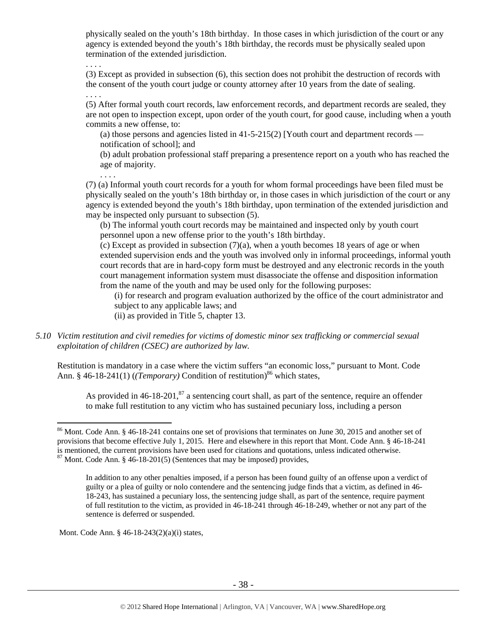physically sealed on the youth's 18th birthday. In those cases in which jurisdiction of the court or any agency is extended beyond the youth's 18th birthday, the records must be physically sealed upon termination of the extended jurisdiction.

. . . .

(3) Except as provided in subsection (6), this section does not prohibit the destruction of records with the consent of the youth court judge or county attorney after 10 years from the date of sealing.

. . . .

. . . .

(5) After formal youth court records, law enforcement records, and department records are sealed, they are not open to inspection except, upon order of the youth court, for good cause, including when a youth commits a new offense, to:

(a) those persons and agencies listed in  $41-5-215(2)$  [Youth court and department records notification of school]; and

(b) adult probation professional staff preparing a presentence report on a youth who has reached the age of majority.

(7) (a) Informal youth court records for a youth for whom formal proceedings have been filed must be physically sealed on the youth's 18th birthday or, in those cases in which jurisdiction of the court or any agency is extended beyond the youth's 18th birthday, upon termination of the extended jurisdiction and may be inspected only pursuant to subsection (5).

(b) The informal youth court records may be maintained and inspected only by youth court personnel upon a new offense prior to the youth's 18th birthday.

 $(c)$  Except as provided in subsection  $(7)(a)$ , when a youth becomes 18 years of age or when extended supervision ends and the youth was involved only in informal proceedings, informal youth court records that are in hard-copy form must be destroyed and any electronic records in the youth court management information system must disassociate the offense and disposition information from the name of the youth and may be used only for the following purposes:

(i) for research and program evaluation authorized by the office of the court administrator and subject to any applicable laws; and

(ii) as provided in Title 5, chapter 13.

*5.10 Victim restitution and civil remedies for victims of domestic minor sex trafficking or commercial sexual exploitation of children (CSEC) are authorized by law.* 

Restitution is mandatory in a case where the victim suffers "an economic loss," pursuant to Mont. Code Ann. § 46-18-241(1) (*(Temporary*) Condition of restitution)<sup>86</sup> which states,

As provided in  $46-18-201$ ,  $87$  a sentencing court shall, as part of the sentence, require an offender to make full restitution to any victim who has sustained pecuniary loss, including a person

Mont. Code Ann. § 46-18-243(2)(a)(i) states,

 $86$  Mont. Code Ann. § 46-18-241 contains one set of provisions that terminates on June 30, 2015 and another set of provisions that become effective July 1, 2015. Here and elsewhere in this report that Mont. Code Ann. § 46-18-241 is mentioned, the current provisions have been used for citations and quotations, unless indicated otherwise.  $87$  Mont. Code Ann. § 46-18-201(5) (Sentences that may be imposed) provides,

In addition to any other penalties imposed, if a person has been found guilty of an offense upon a verdict of guilty or a plea of guilty or nolo contendere and the sentencing judge finds that a victim, as defined in 46- 18-243, has sustained a pecuniary loss, the sentencing judge shall, as part of the sentence, require payment of full restitution to the victim, as provided in 46-18-241 through 46-18-249, whether or not any part of the sentence is deferred or suspended.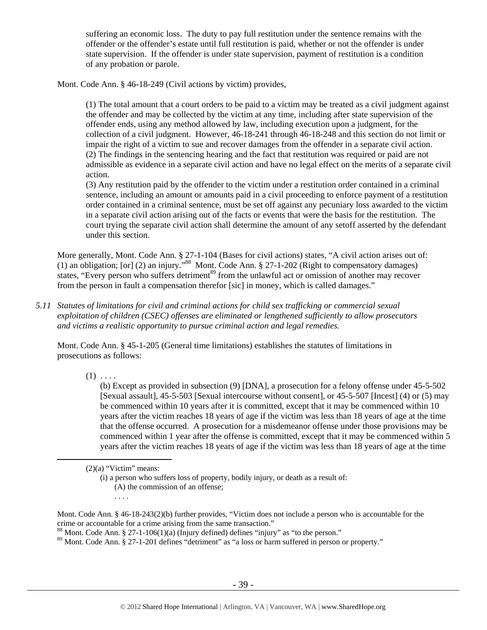suffering an economic loss. The duty to pay full restitution under the sentence remains with the offender or the offender's estate until full restitution is paid, whether or not the offender is under state supervision. If the offender is under state supervision, payment of restitution is a condition of any probation or parole.

Mont. Code Ann. § 46-18-249 (Civil actions by victim) provides,

(1) The total amount that a court orders to be paid to a victim may be treated as a civil judgment against the offender and may be collected by the victim at any time, including after state supervision of the offender ends, using any method allowed by law, including execution upon a judgment, for the collection of a civil judgment. However, 46-18-241 through 46-18-248 and this section do not limit or impair the right of a victim to sue and recover damages from the offender in a separate civil action. (2) The findings in the sentencing hearing and the fact that restitution was required or paid are not admissible as evidence in a separate civil action and have no legal effect on the merits of a separate civil action.

(3) Any restitution paid by the offender to the victim under a restitution order contained in a criminal sentence, including an amount or amounts paid in a civil proceeding to enforce payment of a restitution order contained in a criminal sentence, must be set off against any pecuniary loss awarded to the victim in a separate civil action arising out of the facts or events that were the basis for the restitution. The court trying the separate civil action shall determine the amount of any setoff asserted by the defendant under this section.

More generally, Mont. Code Ann. § 27-1-104 (Bases for civil actions) states, "A civil action arises out of: (1) an obligation; [or] (2) an injury."<sup>88</sup> Mont. Code Ann.  $\S 27-1-202$  (Right to compensatory damages) states, "Every person who suffers detriment<sup>89</sup> from the unlawful act or omission of another may recover from the person in fault a compensation therefor [sic] in money, which is called damages."

*5.11 Statutes of limitations for civil and criminal actions for child sex trafficking or commercial sexual exploitation of children (CSEC) offenses are eliminated or lengthened sufficiently to allow prosecutors and victims a realistic opportunity to pursue criminal action and legal remedies.* 

Mont. Code Ann. § 45-1-205 (General time limitations) establishes the statutes of limitations in prosecutions as follows:

 $(1) \ldots$ 

(b) Except as provided in subsection (9) [DNA], a prosecution for a felony offense under 45-5-502 [Sexual assault], 45-5-503 [Sexual intercourse without consent], or 45-5-507 [Incest] (4) or (5) may be commenced within 10 years after it is committed, except that it may be commenced within 10 years after the victim reaches 18 years of age if the victim was less than 18 years of age at the time that the offense occurred. A prosecution for a misdemeanor offense under those provisions may be commenced within 1 year after the offense is committed, except that it may be commenced within 5 years after the victim reaches 18 years of age if the victim was less than 18 years of age at the time

 $(2)(a)$  "Victim" means:

. . . .

(i) a person who suffers loss of property, bodily injury, or death as a result of: (A) the commission of an offense;

Mont. Code Ann. § 46-18-243(2)(b) further provides, "Victim does not include a person who is accountable for the crime or accountable for a crime arising from the same transaction."

<sup>&</sup>lt;sup>88</sup> Mont. Code Ann. § 27-1-106(1)(a) (Injury defined) defines "injury" as "to the person."

<sup>&</sup>lt;sup>89</sup> Mont. Code Ann. § 27-1-201 defines "detriment" as "a loss or harm suffered in person or property."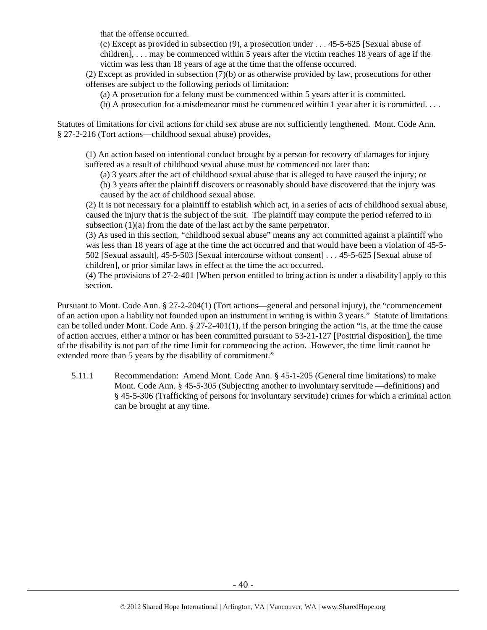that the offense occurred.

(c) Except as provided in subsection (9), a prosecution under . . . 45-5-625 [Sexual abuse of children], . . . may be commenced within 5 years after the victim reaches 18 years of age if the victim was less than 18 years of age at the time that the offense occurred.

(2) Except as provided in subsection (7)(b) or as otherwise provided by law, prosecutions for other offenses are subject to the following periods of limitation:

(a) A prosecution for a felony must be commenced within 5 years after it is committed.

(b) A prosecution for a misdemeanor must be commenced within 1 year after it is committed. . . .

Statutes of limitations for civil actions for child sex abuse are not sufficiently lengthened. Mont. Code Ann. § 27-2-216 (Tort actions—childhood sexual abuse) provides,

(1) An action based on intentional conduct brought by a person for recovery of damages for injury suffered as a result of childhood sexual abuse must be commenced not later than:

- (a) 3 years after the act of childhood sexual abuse that is alleged to have caused the injury; or
- (b) 3 years after the plaintiff discovers or reasonably should have discovered that the injury was caused by the act of childhood sexual abuse.

(2) It is not necessary for a plaintiff to establish which act, in a series of acts of childhood sexual abuse, caused the injury that is the subject of the suit. The plaintiff may compute the period referred to in subsection (1)(a) from the date of the last act by the same perpetrator.

(3) As used in this section, "childhood sexual abuse" means any act committed against a plaintiff who was less than 18 years of age at the time the act occurred and that would have been a violation of 45-5- 502 [Sexual assault], 45-5-503 [Sexual intercourse without consent] . . . 45-5-625 [Sexual abuse of children], or prior similar laws in effect at the time the act occurred.

(4) The provisions of 27-2-401 [When person entitled to bring action is under a disability] apply to this section.

Pursuant to Mont. Code Ann. § 27-2-204(1) (Tort actions—general and personal injury), the "commencement of an action upon a liability not founded upon an instrument in writing is within 3 years." Statute of limitations can be tolled under Mont. Code Ann. § 27-2-401(1), if the person bringing the action "is, at the time the cause of action accrues, either a minor or has been committed pursuant to 53-21-127 [Posttrial disposition], the time of the disability is not part of the time limit for commencing the action. However, the time limit cannot be extended more than 5 years by the disability of commitment."

5.11.1 Recommendation: Amend Mont. Code Ann. § 45-1-205 (General time limitations) to make Mont. Code Ann. § 45-5-305 (Subjecting another to involuntary servitude —definitions) and § 45-5-306 (Trafficking of persons for involuntary servitude) crimes for which a criminal action can be brought at any time.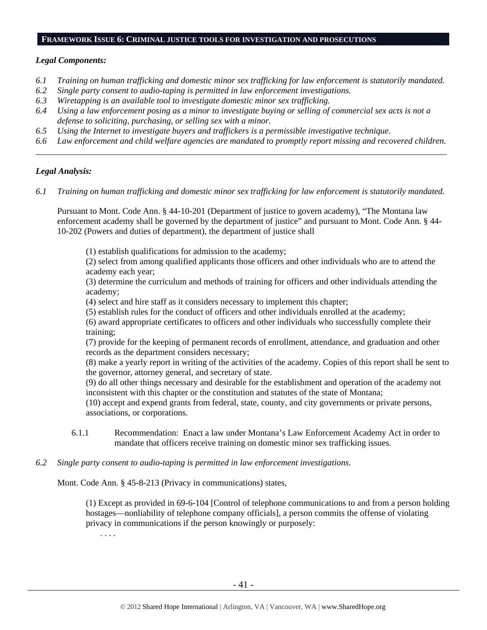## **FRAMEWORK ISSUE 6: CRIMINAL JUSTICE TOOLS FOR INVESTIGATION AND PROSECUTIONS**

#### *Legal Components:*

- *6.1 Training on human trafficking and domestic minor sex trafficking for law enforcement is statutorily mandated.*
- *6.2 Single party consent to audio-taping is permitted in law enforcement investigations.*
- *6.3 Wiretapping is an available tool to investigate domestic minor sex trafficking.*
- *6.4 Using a law enforcement posing as a minor to investigate buying or selling of commercial sex acts is not a defense to soliciting, purchasing, or selling sex with a minor.*
- *6.5 Using the Internet to investigate buyers and traffickers is a permissible investigative technique.*
- *6.6 Law enforcement and child welfare agencies are mandated to promptly report missing and recovered children. \_\_\_\_\_\_\_\_\_\_\_\_\_\_\_\_\_\_\_\_\_\_\_\_\_\_\_\_\_\_\_\_\_\_\_\_\_\_\_\_\_\_\_\_\_\_\_\_\_\_\_\_\_\_\_\_\_\_\_\_\_\_\_\_\_\_\_\_\_\_\_\_\_\_\_\_\_\_\_\_\_\_\_\_\_\_\_\_\_\_\_\_\_\_*

## *Legal Analysis:*

*6.1 Training on human trafficking and domestic minor sex trafficking for law enforcement is statutorily mandated.* 

Pursuant to Mont. Code Ann. § 44-10-201 (Department of justice to govern academy), "The Montana law enforcement academy shall be governed by the department of justice" and pursuant to Mont. Code Ann. § 44- 10-202 (Powers and duties of department), the department of justice shall

(1) establish qualifications for admission to the academy;

(2) select from among qualified applicants those officers and other individuals who are to attend the academy each year;

(3) determine the curriculum and methods of training for officers and other individuals attending the academy;

(4) select and hire staff as it considers necessary to implement this chapter;

(5) establish rules for the conduct of officers and other individuals enrolled at the academy;

(6) award appropriate certificates to officers and other individuals who successfully complete their training;

(7) provide for the keeping of permanent records of enrollment, attendance, and graduation and other records as the department considers necessary;

(8) make a yearly report in writing of the activities of the academy. Copies of this report shall be sent to the governor, attorney general, and secretary of state.

(9) do all other things necessary and desirable for the establishment and operation of the academy not inconsistent with this chapter or the constitution and statutes of the state of Montana;

(10) accept and expend grants from federal, state, county, and city governments or private persons, associations, or corporations.

- 6.1.1 Recommendation: Enact a law under Montana's Law Enforcement Academy Act in order to mandate that officers receive training on domestic minor sex trafficking issues.
- *6.2 Single party consent to audio-taping is permitted in law enforcement investigations.*

Mont. Code Ann. § 45-8-213 (Privacy in communications) states,

(1) Except as provided in 69-6-104 [Control of telephone communications to and from a person holding hostages—nonliability of telephone company officials], a person commits the offense of violating privacy in communications if the person knowingly or purposely:

. . . .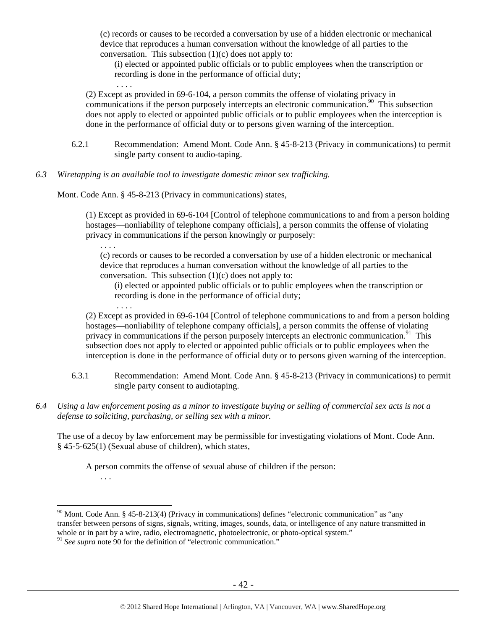(c) records or causes to be recorded a conversation by use of a hidden electronic or mechanical device that reproduces a human conversation without the knowledge of all parties to the conversation. This subsection  $(1)(c)$  does not apply to:

(i) elected or appointed public officials or to public employees when the transcription or recording is done in the performance of official duty;

(2) Except as provided in 69-6-104, a person commits the offense of violating privacy in communications if the person purposely intercepts an electronic communication.<sup>90</sup> This subsection does not apply to elected or appointed public officials or to public employees when the interception is done in the performance of official duty or to persons given warning of the interception.

- 6.2.1 Recommendation: Amend Mont. Code Ann. § 45-8-213 (Privacy in communications) to permit single party consent to audio-taping.
- *6.3 Wiretapping is an available tool to investigate domestic minor sex trafficking.*

Mont. Code Ann. § 45-8-213 (Privacy in communications) states,

. . . .

. . . .

. . . .

(1) Except as provided in 69-6-104 [Control of telephone communications to and from a person holding hostages—nonliability of telephone company officials], a person commits the offense of violating privacy in communications if the person knowingly or purposely:

(c) records or causes to be recorded a conversation by use of a hidden electronic or mechanical device that reproduces a human conversation without the knowledge of all parties to the conversation. This subsection (1)(c) does not apply to:

(i) elected or appointed public officials or to public employees when the transcription or recording is done in the performance of official duty;

(2) Except as provided in 69-6-104 [Control of telephone communications to and from a person holding hostages—nonliability of telephone company officials], a person commits the offense of violating privacy in communications if the person purposely intercepts an electronic communication.<sup>91</sup> This subsection does not apply to elected or appointed public officials or to public employees when the interception is done in the performance of official duty or to persons given warning of the interception.

- 6.3.1 Recommendation: Amend Mont. Code Ann. § 45-8-213 (Privacy in communications) to permit single party consent to audiotaping.
- *6.4 Using a law enforcement posing as a minor to investigate buying or selling of commercial sex acts is not a defense to soliciting, purchasing, or selling sex with a minor.*

The use of a decoy by law enforcement may be permissible for investigating violations of Mont. Code Ann. § 45-5-625(1) (Sexual abuse of children), which states,

A person commits the offense of sexual abuse of children if the person:

. . .

 $90$  Mont. Code Ann. § 45-8-213(4) (Privacy in communications) defines "electronic communication" as "any transfer between persons of signs, signals, writing, images, sounds, data, or intelligence of any nature transmitted in whole or in part by a wire, radio, electromagnetic, photoelectronic, or photo-optical system."

<sup>&</sup>lt;sup>91</sup> See supra note 90 for the definition of "electronic communication."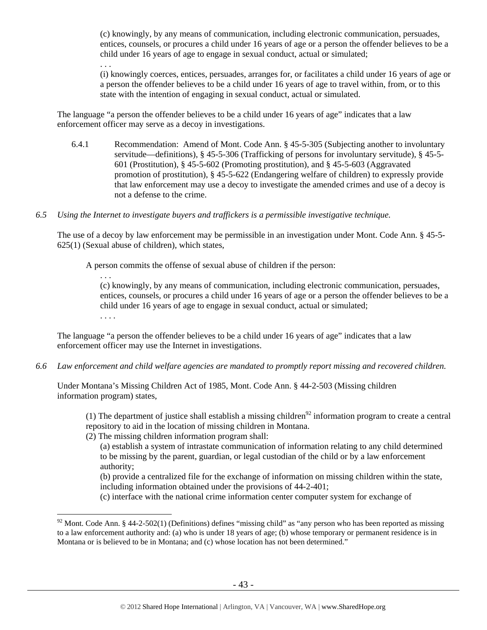(c) knowingly, by any means of communication, including electronic communication, persuades, entices, counsels, or procures a child under 16 years of age or a person the offender believes to be a child under 16 years of age to engage in sexual conduct, actual or simulated;

(i) knowingly coerces, entices, persuades, arranges for, or facilitates a child under 16 years of age or a person the offender believes to be a child under 16 years of age to travel within, from, or to this state with the intention of engaging in sexual conduct, actual or simulated.

The language "a person the offender believes to be a child under 16 years of age" indicates that a law enforcement officer may serve as a decoy in investigations.

- 6.4.1 Recommendation: Amend of Mont. Code Ann. § 45-5-305 (Subjecting another to involuntary servitude—definitions), § 45-5-306 (Trafficking of persons for involuntary servitude), § 45-5- 601 (Prostitution), § 45-5-602 (Promoting prostitution), and § 45-5-603 (Aggravated promotion of prostitution), § 45-5-622 (Endangering welfare of children) to expressly provide that law enforcement may use a decoy to investigate the amended crimes and use of a decoy is not a defense to the crime.
- *6.5 Using the Internet to investigate buyers and traffickers is a permissible investigative technique.*

The use of a decoy by law enforcement may be permissible in an investigation under Mont. Code Ann. § 45-5- 625(1) (Sexual abuse of children), which states,

A person commits the offense of sexual abuse of children if the person:

. . . (c) knowingly, by any means of communication, including electronic communication, persuades, entices, counsels, or procures a child under 16 years of age or a person the offender believes to be a child under 16 years of age to engage in sexual conduct, actual or simulated;

. . . .

 $\overline{a}$ 

. . .

The language "a person the offender believes to be a child under 16 years of age" indicates that a law enforcement officer may use the Internet in investigations.

*6.6 Law enforcement and child welfare agencies are mandated to promptly report missing and recovered children.* 

Under Montana's Missing Children Act of 1985, Mont. Code Ann. § 44-2-503 (Missing children information program) states,

(1) The department of justice shall establish a missing children<sup>92</sup> information program to create a central repository to aid in the location of missing children in Montana.

(2) The missing children information program shall:

(a) establish a system of intrastate communication of information relating to any child determined to be missing by the parent, guardian, or legal custodian of the child or by a law enforcement authority;

(b) provide a centralized file for the exchange of information on missing children within the state, including information obtained under the provisions of 44-2-401;

(c) interface with the national crime information center computer system for exchange of

<sup>&</sup>lt;sup>92</sup> Mont. Code Ann. § 44-2-502(1) (Definitions) defines "missing child" as "any person who has been reported as missing to a law enforcement authority and: (a) who is under 18 years of age; (b) whose temporary or permanent residence is in Montana or is believed to be in Montana; and (c) whose location has not been determined."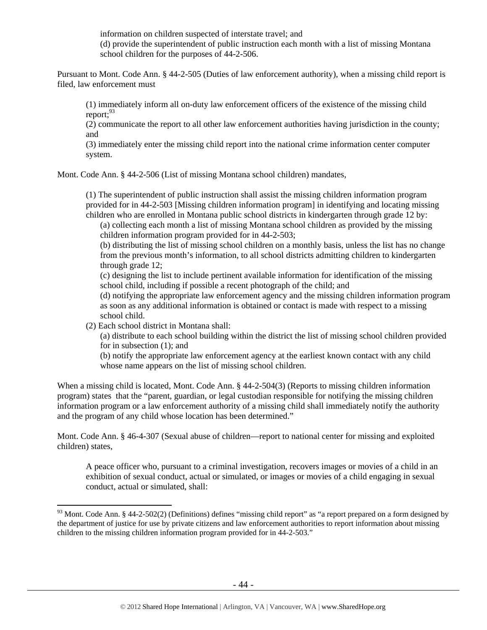information on children suspected of interstate travel; and (d) provide the superintendent of public instruction each month with a list of missing Montana school children for the purposes of 44-2-506.

Pursuant to Mont. Code Ann. § 44-2-505 (Duties of law enforcement authority), when a missing child report is filed, law enforcement must

(1) immediately inform all on-duty law enforcement officers of the existence of the missing child report; $^{93}$ 

(2) communicate the report to all other law enforcement authorities having jurisdiction in the county; and

(3) immediately enter the missing child report into the national crime information center computer system.

Mont. Code Ann. § 44-2-506 (List of missing Montana school children) mandates,

(1) The superintendent of public instruction shall assist the missing children information program provided for in 44-2-503 [Missing children information program] in identifying and locating missing children who are enrolled in Montana public school districts in kindergarten through grade 12 by:

(a) collecting each month a list of missing Montana school children as provided by the missing children information program provided for in 44-2-503;

(b) distributing the list of missing school children on a monthly basis, unless the list has no change from the previous month's information, to all school districts admitting children to kindergarten through grade 12;

(c) designing the list to include pertinent available information for identification of the missing school child, including if possible a recent photograph of the child; and

(d) notifying the appropriate law enforcement agency and the missing children information program as soon as any additional information is obtained or contact is made with respect to a missing school child.

(2) Each school district in Montana shall:

 $\overline{a}$ 

(a) distribute to each school building within the district the list of missing school children provided for in subsection (1); and

(b) notify the appropriate law enforcement agency at the earliest known contact with any child whose name appears on the list of missing school children.

When a missing child is located, Mont. Code Ann. § 44-2-504(3) (Reports to missing children information program) states that the "parent, guardian, or legal custodian responsible for notifying the missing children information program or a law enforcement authority of a missing child shall immediately notify the authority and the program of any child whose location has been determined."

Mont. Code Ann. § 46-4-307 (Sexual abuse of children—report to national center for missing and exploited children) states,

A peace officer who, pursuant to a criminal investigation, recovers images or movies of a child in an exhibition of sexual conduct, actual or simulated, or images or movies of a child engaging in sexual conduct, actual or simulated, shall:

 $93$  Mont. Code Ann. § 44-2-502(2) (Definitions) defines "missing child report" as "a report prepared on a form designed by the department of justice for use by private citizens and law enforcement authorities to report information about missing children to the missing children information program provided for in 44-2-503."